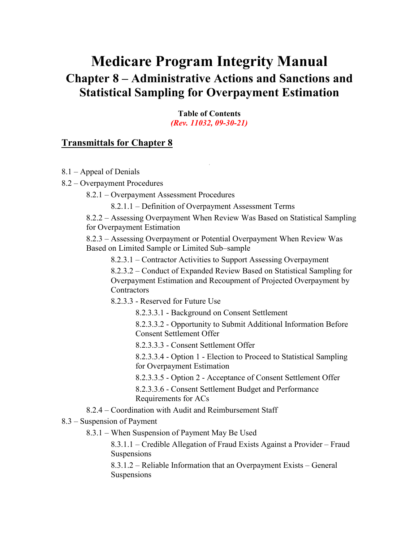# <span id="page-0-0"></span>**Medicare Program Integrity Manual Chapter 8 – Administrative Actions and Sanctions and Statistical Sampling for Overpayment Estimation**

**Table of Contents** *(Rev. 11032, 09-30-21)*

### **[Transmittals for Chapter 8](#page-49-0)**

- 8.1 [Appeal of Denials](#page-3-0)
- 8.2 [Overpayment Procedures](#page-4-0)

8.2.1 – [Overpayment Assessment Procedures](#page-4-1)

8.2.1.1 – [Definition of Overpayment Assessment Terms](#page-5-0)

8.2.2 – [Assessing Overpayment When Review Was Based on Statistical Sampling](#page-6-0)  [for Overpayment Estimation](#page-6-0)

8.2.3 – [Assessing Overpayment or Potential Overpayment When Review Was](#page-6-1)  [Based on Limited Sample or Limited Sub–sample](#page-6-1)

8.2.3.1 – [Contractor Activities to Support Assessing Overpayment](#page-6-2)

8.2.3.2 – [Conduct of Expanded Review Based on Statistical Sampling for](#page-7-0)  [Overpayment Estimation and Recoupment of Projected Overpayment by](#page-7-0)  **[Contractors](#page-7-0)** 

8.2.3.3 - [Reserved for Future Use](#page-8-0)

8.2.3.3.1 - [Background on Consent Settlement](#page-8-1)

8.2.3.3.2 - [Opportunity to Submit Additional Information Before](#page-9-0)  [Consent Settlement Offer](#page-9-0)

8.2.3.3.3 - [Consent Settlement Offer](#page-10-0)

8.2.3.3.4 - Option 1 - [Election to Proceed to Statistical Sampling](#page-10-1)  for [Overpayment Estimation](#page-10-1)

8.2.3.3.5 - Option 2 - [Acceptance of Consent Settlement Offer](#page-10-2)

8.2.3.3.6 - [Consent Settlement Budget and Performance](#page-10-3)  [Requirements for ACs](#page-10-3)

- 8.2.4 [Coordination with Audit and Reimbursement Staff](#page-11-0)
- 8.3 [Suspension of Payment](#page-12-0)
	- 8.3.1 [When Suspension of Payment May Be Used](#page-12-1)

8.3.1.1 – [Credible Allegation of Fraud Exists Against a Provider](#page-14-0) – Fraud [Suspensions](#page-14-0)

8.3.1.2 – [Reliable Information that an Overpayment Exists –](#page-16-0) General [Suspensions](#page-16-0)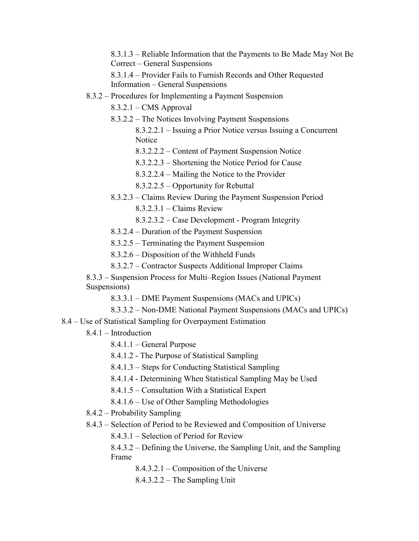8.3.1.3 – [Reliable Information that the Payments to Be Made May Not Be](#page-16-1)  Correct – [General Suspensions](#page-16-1)

8.3.1.4 – [Provider Fails to Furnish Records and Other Requested](#page-17-0)  Information – [General Suspensions](#page-17-0)

8.3.2 – [Procedures for Implementing a Payment Suspension](#page-18-0)

8.3.2.1 – [CMS Approval](#page-18-1)

- 8.3.2.2 [The Notices Involving Payment Suspensions](#page-19-0)
	- 8.3.2.2.1 [Issuing a Prior Notice versus Issuing a Concurrent](#page-19-1)  **[Notice](#page-19-1)**
	- 8.3.2.2.2 [Content of Payment Suspension Notice](#page-20-0)
	- 8.3.2.2.3 [Shortening the Notice Period for Cause](#page-21-0)
	- 8.3.2.2.4 [Mailing the Notice to the Provider](#page-21-1)
	- 8.3.2.2.5 [Opportunity for Rebuttal](#page-21-2)
- 8.3.2.3 [Claims Review During the Payment Suspension Period](#page-22-0)
	- 8.3.2.3.1 [Claims Review](#page-22-1)
	- 8.3.2.3.2 [Case Development -](#page-24-0) Program Integrity
- 8.3.2.4 [Duration of the Payment Suspension](#page-24-1)
- 8.3.2.5 [Terminating the Payment Suspension](#page-24-2)
- 8.3.2.6 [Disposition of the Withheld Funds](#page-26-0)
- 8.3.2.7 [Contractor Suspects Additional Improper Claims](#page-27-0)
- 8.3.3 [Suspension Process for Multi–Region Issues \(National Payment](#page-27-1)  [Suspensions\)](#page-27-1)
	- 8.3.3.1 [DME Payment Suspensions \(MACs and UPICs\)](#page-27-2)
	- [8.3.3.2 –](#page-29-0) Non-DME National Payment Suspensions (MACs and UPICs)
- 8.4 [Use of Statistical Sampling for Overpayment Estimation](#page-29-1)
	- 8.4.1 [Introduction](#page-30-0)
		- 8.4.1.1 [General Purpose](#page-30-1)
		- 8.4.1.2 [The Purpose of Statistical Sampling](#page-31-0)
		- 8.4.1.3 [Steps for Conducting Statistical Sampling](#page-31-1)
		- 8.4.1.4 [Determining When Statistical Sampling May be Used](#page-31-2)
		- 8.4.1.5 [Consultation With a Statistical Expert](#page-32-0)
		- 8.4.1.6 [Use of Other Sampling Methodologies](#page-33-0)
	- 8.4.2 [Probability Sampling](#page-34-0)
	- 8.4.3 [Selection of Period to be Reviewed and Composition of Universe](#page-34-1)
		- 8.4.3.1 [Selection of Period for Review](#page-34-2)
		- 8.4.3.2 [Defining the Universe, the Sampling Unit, and the Sampling](#page-36-0)  [Frame](#page-36-0)
			- 8.4.3.2.1 [Composition of the Universe](#page-36-1)
			- 8.4.3.2.2 [The Sampling Unit](#page-37-0)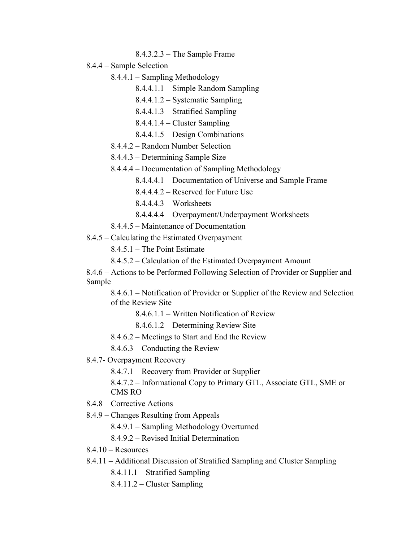- 8.4.3.2.3 [The Sample Frame](#page-38-0)
- 8.4.4 [Sample Selection](#page-38-1)
	- 8.4.4.1 [Sampling Methodology](#page-38-2)
		- 8.4.4.1.1 Simple Random Sampling
		- 8.4.4.1.2 Systematic Sampling
		- 8.4.4.1.3 Stratified Sampling
		- 8.4.4.1.4 Cluster Sampling
		- 8.4.4.1.5 Design Combinations
	- 8.4.4.2 [Random Number Selection](#page-38-3)
	- 8.4.4.3 [Determining Sample Size](#page-39-0)
	- 8.4.4.4 [Documentation of Sampling Methodology](#page-39-1)
		- 8.4.4.4.1 [Documentation of Universe and](#page-39-2) Sample Frame
		- 8.4.4.4.2 [Reserved for Future Use](#page-40-0)
		- 8.4.4.4.3 [Worksheets](#page-40-1)
		- 8.4.4.4.4 [Overpayment/Underpayment Worksheets](#page-40-2)
	- 8.4.4.5 [Maintenance of Documentation](#page-41-0)
- 8.4.5 [Calculating the Estimated Overpayment](#page-41-1)
	- 8.4.5.1 [The Point Estimate](#page-41-2)
	- 8.4.5.2 [Calculation of the Estimated Overpayment Amount](#page-41-3)
- 8.4.6 [Actions to be Performed Following Selection of Provider or Supplier and](#page-42-0)  [Sample](#page-42-0)
	- 8.4.6.1 [Notification of Provider or Supplier of the Review and Selection](#page-42-1)  [of the Review Site](#page-42-1)
		- 8.4.6.1.1 [Written Notification of Review](#page-42-2)
		- 8.4.6.1.2 [Determining Review Site](#page-43-0)
	- 8.4.6.2 [Meetings to Start and End the Review](#page-43-1)
	- 8.4.6.3 [Conducting the Review](#page-44-0)
- 8.4.7- [Overpayment Recovery](#page-45-0)
	- 8.4.7.1 [Recovery from Provider or Supplier](#page-45-1)
	- 8.4.7.2 Informational Copy to Primary GTL, Associate GTL, SME or CMS RO
- 8.4.8 [Corrective Actions](#page-47-0)
- 8.4.9 [Changes Resulting from Appeals](#page-47-1)
	- 8.4.9.1 [Sampling Methodology Overturned](#page-47-2)
	- 8.4.9.2 [Revised Initial Determination](#page-48-0)
- $8.4.10 -$ Resources
- 8.4.11 Additional Discussion of Stratified Sampling and Cluster Sampling
	- 8.4.11.1 Stratified Sampling
	- 8.4.11.2 Cluster Sampling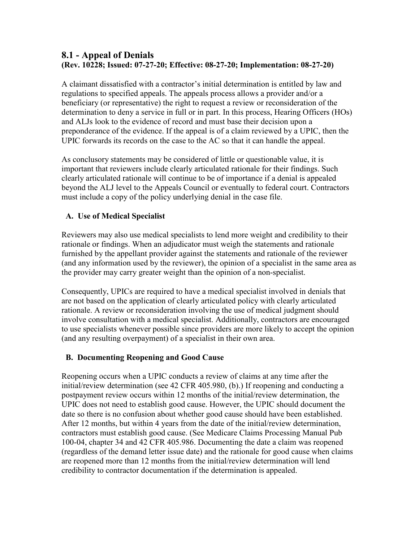## <span id="page-3-0"></span>**8.1 - Appeal of Denials (Rev. 10228; Issued: 07-27-20; Effective: 08-27-20; Implementation: 08-27-20)**

A claimant dissatisfied with a contractor's initial determination is entitled by law and regulations to specified appeals. The appeals process allows a provider and/or a beneficiary (or representative) the right to request a review or reconsideration of the determination to deny a service in full or in part. In this process, Hearing Officers (HOs) and ALJs look to the evidence of record and must base their decision upon a preponderance of the evidence. If the appeal is of a claim reviewed by a UPIC, then the UPIC forwards its records on the case to the AC so that it can handle the appeal.

As conclusory statements may be considered of little or questionable value, it is important that reviewers include clearly articulated rationale for their findings. Such clearly articulated rationale will continue to be of importance if a denial is appealed beyond the ALJ level to the Appeals Council or eventually to federal court. Contractors must include a copy of the policy underlying denial in the case file.

### **A. Use of Medical Specialist**

Reviewers may also use medical specialists to lend more weight and credibility to their rationale or findings. When an adjudicator must weigh the statements and rationale furnished by the appellant provider against the statements and rationale of the reviewer (and any information used by the reviewer), the opinion of a specialist in the same area as the provider may carry greater weight than the opinion of a non-specialist.

Consequently, UPICs are required to have a medical specialist involved in denials that are not based on the application of clearly articulated policy with clearly articulated rationale. A review or reconsideration involving the use of medical judgment should involve consultation with a medical specialist. Additionally, contractors are encouraged to use specialists whenever possible since providers are more likely to accept the opinion (and any resulting overpayment) of a specialist in their own area.

### **B. Documenting Reopening and Good Cause**

Reopening occurs when a UPIC conducts a review of claims at any time after the initial/review determination (see 42 CFR 405.980, (b).) If reopening and conducting a postpayment review occurs within 12 months of the initial/review determination, the UPIC does not need to establish good cause. However, the UPIC should document the date so there is no confusion about whether good cause should have been established. After 12 months, but within 4 years from the date of the initial/review determination, contractors must establish good cause. (See Medicare Claims Processing Manual Pub 100-04, chapter 34 and 42 CFR 405.986. Documenting the date a claim was reopened (regardless of the demand letter issue date) and the rationale for good cause when claims are reopened more than 12 months from the initial/review determination will lend credibility to contractor documentation if the determination is appealed.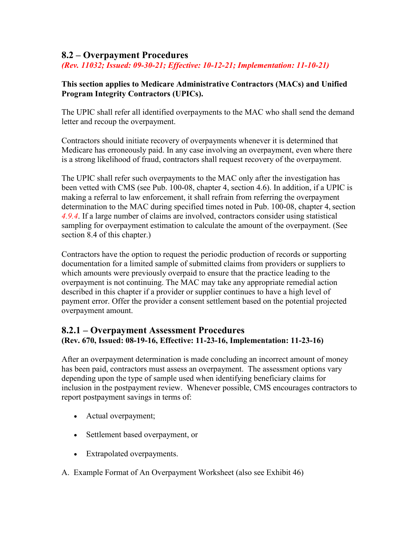## <span id="page-4-0"></span>**8.2 – Overpayment Procedures**

*(Rev. 11032; Issued: 09-30-21; Effective: 10-12-21; Implementation: 11-10-21)*

### **This section applies to Medicare Administrative Contractors (MACs) and Unified Program Integrity Contractors (UPICs).**

The UPIC shall refer all identified overpayments to the MAC who shall send the demand letter and recoup the overpayment.

Contractors should initiate recovery of overpayments whenever it is determined that Medicare has erroneously paid. In any case involving an overpayment, even where there is a strong likelihood of fraud, contractors shall request recovery of the overpayment.

The UPIC shall refer such overpayments to the MAC only after the investigation has been vetted with CMS (see Pub. 100-08, chapter 4, section 4.6). In addition, if a UPIC is making a referral to law enforcement, it shall refrain from referring the overpayment determination to the MAC during specified times noted in Pub. 100-08, chapter 4, section *4.9.4*. If a large number of claims are involved, contractors consider using statistical sampling for overpayment estimation to calculate the amount of the overpayment. (See section 8.4 of this chapter.)

Contractors have the option to request the periodic production of records or supporting documentation for a limited sample of submitted claims from providers or suppliers to which amounts were previously overpaid to ensure that the practice leading to the overpayment is not continuing. The MAC may take any appropriate remedial action described in this chapter if a provider or supplier continues to have a high level of payment error. Offer the provider a consent settlement based on the potential projected overpayment amount.

### <span id="page-4-1"></span>**8.2.1 – Overpayment Assessment Procedures (Rev. 670, Issued: 08-19-16, Effective: 11-23-16, Implementation: 11-23-16)**

After an overpayment determination is made concluding an incorrect amount of money has been paid, contractors must assess an overpayment. The assessment options vary depending upon the type of sample used when identifying beneficiary claims for inclusion in the postpayment review. Whenever possible, CMS encourages contractors to report postpayment savings in terms of:

- Actual overpayment;
- Settlement based overpayment, or
- Extrapolated overpayments.
- A. Example Format of An Overpayment Worksheet (also see Exhibit 46)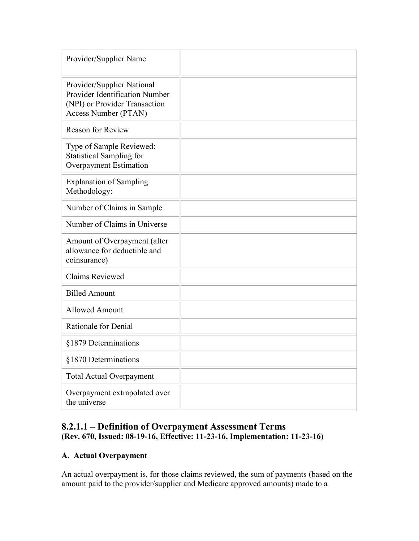| Provider/Supplier Name                                                                                                       |  |
|------------------------------------------------------------------------------------------------------------------------------|--|
| Provider/Supplier National<br><b>Provider Identification Number</b><br>(NPI) or Provider Transaction<br>Access Number (PTAN) |  |
| <b>Reason for Review</b>                                                                                                     |  |
| Type of Sample Reviewed:<br><b>Statistical Sampling for</b><br>Overpayment Estimation                                        |  |
| <b>Explanation of Sampling</b><br>Methodology:                                                                               |  |
| Number of Claims in Sample                                                                                                   |  |
| Number of Claims in Universe                                                                                                 |  |
| Amount of Overpayment (after<br>allowance for deductible and<br>coinsurance)                                                 |  |
| <b>Claims Reviewed</b>                                                                                                       |  |
| <b>Billed Amount</b>                                                                                                         |  |
| <b>Allowed Amount</b>                                                                                                        |  |
| Rationale for Denial                                                                                                         |  |
| §1879 Determinations                                                                                                         |  |
| §1870 Determinations                                                                                                         |  |
| <b>Total Actual Overpayment</b>                                                                                              |  |
| Overpayment extrapolated over<br>the universe                                                                                |  |

## <span id="page-5-0"></span>**8.2.1.1 – Definition of Overpayment Assessment Terms (Rev. 670, Issued: 08-19-16, Effective: 11-23-16, Implementation: 11-23-16)**

### **A. Actual Overpayment**

An actual overpayment is, for those claims reviewed, the sum of payments (based on the amount paid to the provider/supplier and Medicare approved amounts) made to a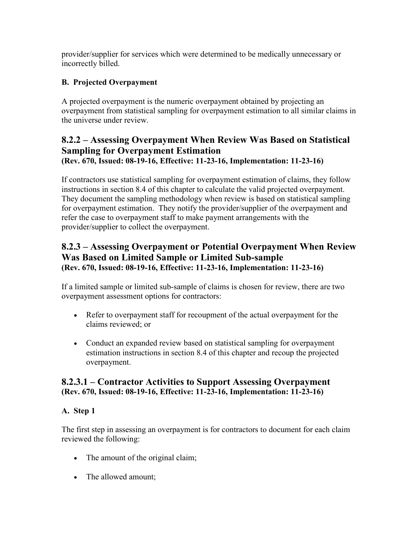provider/supplier for services which were determined to be medically unnecessary or incorrectly billed.

## **B. Projected Overpayment**

A projected overpayment is the numeric overpayment obtained by projecting an overpayment from statistical sampling for overpayment estimation to all similar claims in the universe under review.

## <span id="page-6-0"></span>**8.2.2 – Assessing Overpayment When Review Was Based on Statistical Sampling for Overpayment Estimation (Rev. 670, Issued: 08-19-16, Effective: 11-23-16, Implementation: 11-23-16)**

If contractors use statistical sampling for overpayment estimation of claims, they follow instructions in section 8.4 of this chapter to calculate the valid projected overpayment. They document the sampling methodology when review is based on statistical sampling for overpayment estimation. They notify the provider/supplier of the overpayment and refer the case to overpayment staff to make payment arrangements with the provider/supplier to collect the overpayment.

## <span id="page-6-1"></span>**8.2.3 – Assessing Overpayment or Potential Overpayment When Review Was Based on Limited Sample or Limited Sub-sample (Rev. 670, Issued: 08-19-16, Effective: 11-23-16, Implementation: 11-23-16)**

If a limited sample or limited sub-sample of claims is chosen for review, there are two overpayment assessment options for contractors:

- Refer to overpayment staff for recoupment of the actual overpayment for the claims reviewed; or
- Conduct an expanded review based on statistical sampling for overpayment estimation instructions in section 8.4 of this chapter and recoup the projected overpayment.

## <span id="page-6-2"></span>**8.2.3.1 – Contractor Activities to Support Assessing Overpayment (Rev. 670, Issued: 08-19-16, Effective: 11-23-16, Implementation: 11-23-16)**

### **A. Step 1**

The first step in assessing an overpayment is for contractors to document for each claim reviewed the following:

- The amount of the original claim;
- The allowed amount;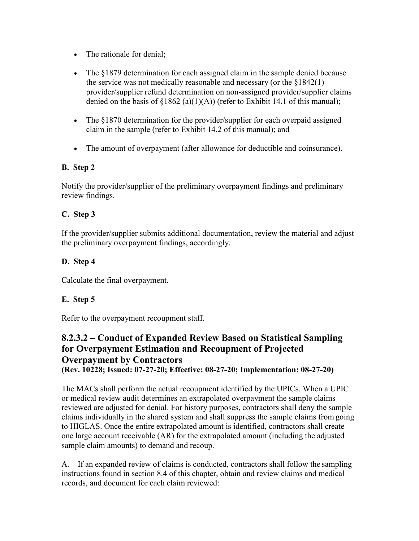- The rationale for denial:
- The §1879 determination for each assigned claim in the sample denied because the service was not medically reasonable and necessary (or the  $$1842(1)$ ) provider/supplier refund determination on non-assigned provider/supplier claims denied on the basis of  $\S1862$  (a)(1)(A)) (refer to Exhibit 14.1 of this manual);
- The §1870 determination for the provider/supplier for each overpaid assigned claim in the sample (refer to Exhibit 14.2 of this manual); and
- The amount of overpayment (after allowance for deductible and coinsurance).

### **B. Step 2**

Notify the provider/supplier of the preliminary overpayment findings and preliminary review findings.

### **C. Step 3**

If the provider/supplier submits additional documentation, review the material and adjust the preliminary overpayment findings, accordingly.

### **D. Step 4**

Calculate the final overpayment.

### **E. Step 5**

Refer to the overpayment recoupment staff.

## <span id="page-7-0"></span>**8.2.3.2 – Conduct of Expanded Review Based on Statistical Sampling for Overpayment Estimation and Recoupment of Projected Overpayment by Contractors (Rev. 10228; Issued: 07-27-20; Effective: 08-27-20; Implementation: 08-27-20)**

The MACs shall perform the actual recoupment identified by the UPICs. When a UPIC or medical review audit determines an extrapolated overpayment the sample claims reviewed are adjusted for denial. For history purposes, contractors shall deny the sample claims individually in the shared system and shall suppress the sample claims from going to HIGLAS. Once the entire extrapolated amount is identified, contractors shall create one large account receivable (AR) for the extrapolated amount (including the adjusted sample claim amounts) to demand and recoup.

A. If an expanded review of claims is conducted, contractors shall follow the sampling instructions found in section 8.4 of this chapter, obtain and review claims and medical records, and document for each claim reviewed: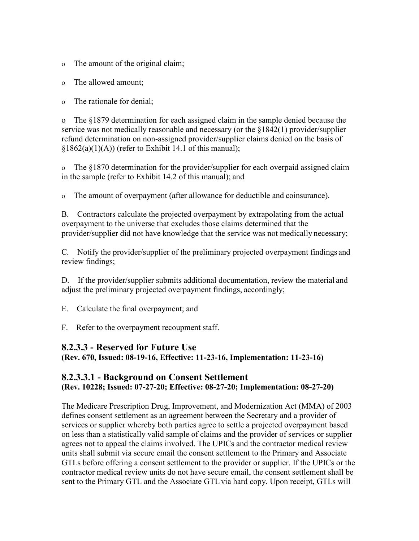ο The amount of the original claim;

ο The allowed amount;

ο The rationale for denial;

o The §1879 determination for each assigned claim in the sample denied because the service was not medically reasonable and necessary (or the §1842(1) provider/supplier refund determination on non-assigned provider/supplier claims denied on the basis of  $§1862(a)(1)(A))$  (refer to Exhibit 14.1 of this manual);

ο The §1870 determination for the provider/supplier for each overpaid assigned claim in the sample (refer to Exhibit 14.2 of this manual); and

ο The amount of overpayment (after allowance for deductible and coinsurance).

B. Contractors calculate the projected overpayment by extrapolating from the actual overpayment to the universe that excludes those claims determined that the provider/supplier did not have knowledge that the service was not medically necessary;

C. Notify the provider/supplier of the preliminary projected overpayment findings and review findings;

D. If the provider/supplier submits additional documentation, review the material and adjust the preliminary projected overpayment findings, accordingly;

E. Calculate the final overpayment; and

F. Refer to the overpayment recoupment staff.

### <span id="page-8-0"></span>**8.2.3.3 - Reserved for Future Use**

**(Rev. 670, Issued: 08-19-16, Effective: 11-23-16, Implementation: 11-23-16)**

## <span id="page-8-1"></span>**8.2.3.3.1 - Background on Consent Settlement (Rev. 10228; Issued: 07-27-20; Effective: 08-27-20; Implementation: 08-27-20)**

The Medicare Prescription Drug, Improvement, and Modernization Act (MMA) of 2003 defines consent settlement as an agreement between the Secretary and a provider of services or supplier whereby both parties agree to settle a projected overpayment based on less than a statistically valid sample of claims and the provider of services or supplier agrees not to appeal the claims involved. The UPICs and the contractor medical review units shall submit via secure email the consent settlement to the Primary and Associate GTLs before offering a consent settlement to the provider or supplier. If the UPICs or the contractor medical review units do not have secure email, the consent settlement shall be sent to the Primary GTL and the Associate GTLvia hard copy. Upon receipt, GTLs will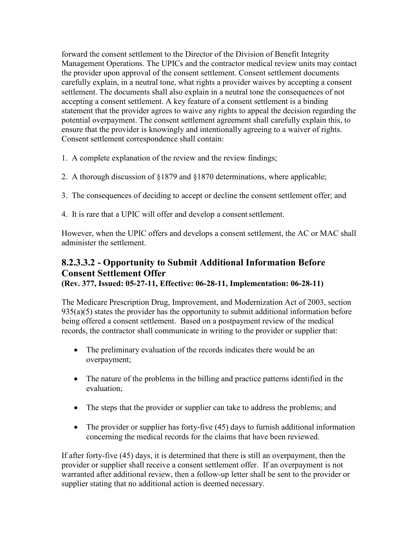forward the consent settlement to the Director of the Division of Benefit Integrity Management Operations. The UPICs and the contractor medical review units may contact the provider upon approval of the consent settlement. Consent settlement documents carefully explain, in a neutral tone, what rights a provider waives by accepting a consent settlement. The documents shall also explain in a neutral tone the consequences of not accepting a consent settlement. A key feature of a consent settlement is a binding statement that the provider agrees to waive any rights to appeal the decision regarding the potential overpayment. The consent settlement agreement shall carefully explain this, to ensure that the provider is knowingly and intentionally agreeing to a waiver of rights. Consent settlement correspondence shall contain:

1. A complete explanation of the review and the review findings;

- 2. A thorough discussion of §1879 and §1870 determinations, where applicable;
- 3. The consequences of deciding to accept or decline the consent settlement offer; and
- 4. It is rare that a UPIC will offer and develop a consentsettlement.

However, when the UPIC offers and develops a consent settlement, the AC or MAC shall administer the settlement.

# <span id="page-9-0"></span>**8.2.3.3.2 - Opportunity to Submit Additional Information Before Consent Settlement Offer**

**(Rev. 377, Issued: 05-27-11, Effective: 06-28-11, Implementation: 06-28-11)**

The Medicare Prescription Drug, Improvement, and Modernization Act of 2003, section  $935(a)(5)$  states the provider has the opportunity to submit additional information before being offered a consent settlement. Based on a postpayment review of the medical records, the contractor shall communicate in writing to the provider or supplier that:

- The preliminary evaluation of the records indicates there would be an overpayment;
- The nature of the problems in the billing and practice patterns identified in the evaluation;
- The steps that the provider or supplier can take to address the problems; and
- The provider or supplier has forty-five (45) days to furnish additional information concerning the medical records for the claims that have been reviewed.

If after forty-five (45) days, it is determined that there is still an overpayment, then the provider or supplier shall receive a consent settlement offer. If an overpayment is not warranted after additional review, then a follow-up letter shall be sent to the provider or supplier stating that no additional action is deemed necessary.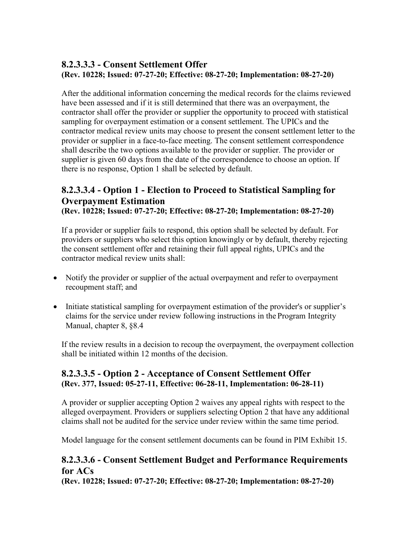## <span id="page-10-0"></span>**8.2.3.3.3 - Consent Settlement Offer (Rev. 10228; Issued: 07-27-20; Effective: 08-27-20; Implementation: 08-27-20)**

After the additional information concerning the medical records for the claims reviewed have been assessed and if it is still determined that there was an overpayment, the contractor shall offer the provider or supplier the opportunity to proceed with statistical sampling for overpayment estimation or a consent settlement. The UPICs and the contractor medical review units may choose to present the consent settlement letter to the provider or supplier in a face-to-face meeting. The consent settlement correspondence shall describe the two options available to the provider or supplier. The provider or supplier is given 60 days from the date of the correspondence to choose an option. If there is no response, Option 1 shall be selected by default.

## <span id="page-10-1"></span>**8.2.3.3.4 - Option 1 - Election to Proceed to Statistical Sampling for Overpayment Estimation**

**(Rev. 10228; Issued: 07-27-20; Effective: 08-27-20; Implementation: 08-27-20)**

If a provider or supplier fails to respond, this option shall be selected by default. For providers or suppliers who select this option knowingly or by default, thereby rejecting the consent settlement offer and retaining their full appeal rights, UPICs and the contractor medical review units shall:

- Notify the provider or supplier of the actual overpayment and refer to overpayment recoupment staff; and
- Initiate statistical sampling for overpayment estimation of the provider's or supplier's claims for the service under review following instructions in the Program Integrity Manual, chapter 8, §8.4

If the review results in a decision to recoup the overpayment, the overpayment collection shall be initiated within 12 months of the decision.

## <span id="page-10-2"></span>**8.2.3.3.5 - Option 2 - Acceptance of Consent Settlement Offer (Rev. 377, Issued: 05-27-11, Effective: 06-28-11, Implementation: 06-28-11)**

A provider or supplier accepting Option 2 waives any appeal rights with respect to the alleged overpayment. Providers or suppliers selecting Option 2 that have any additional claims shall not be audited for the service under review within the same time period.

Model language for the consent settlement documents can be found in PIM Exhibit 15.

## <span id="page-10-3"></span>**8.2.3.3.6 - Consent Settlement Budget and Performance Requirements for ACs**

**(Rev. 10228; Issued: 07-27-20; Effective: 08-27-20; Implementation: 08-27-20)**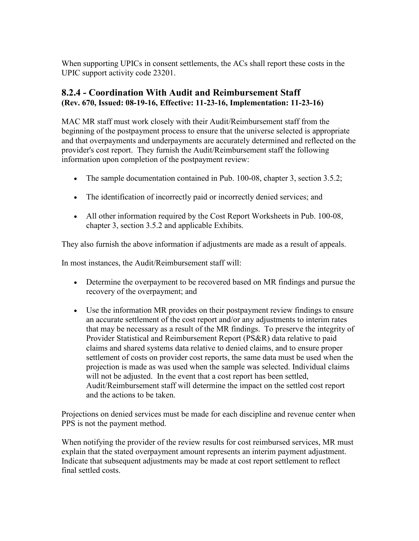When supporting UPICs in consent settlements, the ACs shall report these costs in the UPIC support activity code 23201.

## <span id="page-11-0"></span>**8.2.4 - Coordination With Audit and Reimbursement Staff (Rev. 670, Issued: 08-19-16, Effective: 11-23-16, Implementation: 11-23-16)**

MAC MR staff must work closely with their Audit/Reimbursement staff from the beginning of the postpayment process to ensure that the universe selected is appropriate and that overpayments and underpayments are accurately determined and reflected on the provider's cost report. They furnish the Audit/Reimbursement staff the following information upon completion of the postpayment review:

- The sample documentation contained in Pub. 100-08, chapter 3, section 3.5.2;
- The identification of incorrectly paid or incorrectly denied services; and
- All other information required by the Cost Report Worksheets in Pub. 100-08, chapter 3, section 3.5.2 and applicable Exhibits.

They also furnish the above information if adjustments are made as a result of appeals.

In most instances, the Audit/Reimbursement staff will:

- Determine the overpayment to be recovered based on MR findings and pursue the recovery of the overpayment; and
- Use the information MR provides on their postpayment review findings to ensure an accurate settlement of the cost report and/or any adjustments to interim rates that may be necessary as a result of the MR findings. To preserve the integrity of Provider Statistical and Reimbursement Report (PS&R) data relative to paid claims and shared systems data relative to denied claims, and to ensure proper settlement of costs on provider cost reports, the same data must be used when the projection is made as was used when the sample was selected. Individual claims will not be adjusted. In the event that a cost report has been settled, Audit/Reimbursement staff will determine the impact on the settled cost report and the actions to be taken.

Projections on denied services must be made for each discipline and revenue center when PPS is not the payment method.

When notifying the provider of the review results for cost reimbursed services, MR must explain that the stated overpayment amount represents an interim payment adjustment. Indicate that subsequent adjustments may be made at cost report settlement to reflect final settled costs.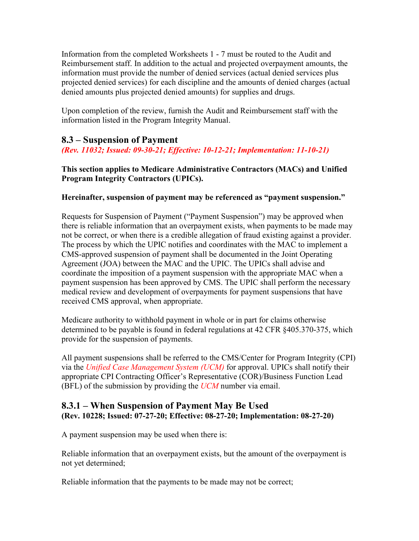Information from the completed Worksheets 1 - 7 must be routed to the Audit and Reimbursement staff. In addition to the actual and projected overpayment amounts, the information must provide the number of denied services (actual denied services plus projected denied services) for each discipline and the amounts of denied charges (actual denied amounts plus projected denied amounts) for supplies and drugs.

Upon completion of the review, furnish the Audit and Reimbursement staff with the information listed in the Program Integrity Manual.

## <span id="page-12-0"></span>**8.3 – Suspension of Payment**

<span id="page-12-1"></span>*(Rev. 11032; Issued: 09-30-21; Effective: 10-12-21; Implementation: 11-10-21)*

### **This section applies to Medicare Administrative Contractors (MACs) and Unified Program Integrity Contractors (UPICs).**

### **Hereinafter, suspension of payment may be referenced as "payment suspension."**

Requests for Suspension of Payment ("Payment Suspension") may be approved when there is reliable information that an overpayment exists, when payments to be made may not be correct, or when there is a credible allegation of fraud existing against a provider. The process by which the UPIC notifies and coordinates with the MAC to implement a CMS-approved suspension of payment shall be documented in the Joint Operating Agreement (JOA) between the MAC and the UPIC. The UPICs shall advise and coordinate the imposition of a payment suspension with the appropriate MAC when a payment suspension has been approved by CMS. The UPIC shall perform the necessary medical review and development of overpayments for payment suspensions that have received CMS approval, when appropriate.

Medicare authority to withhold payment in whole or in part for claims otherwise determined to be payable is found in federal regulations at 42 CFR §405.370-375, which provide for the suspension of payments.

All payment suspensions shall be referred to the CMS/Center for Program Integrity (CPI) via the *Unified Case Management System (UCM)* for approval. UPICs shall notify their appropriate CPI Contracting Officer's Representative (COR)/Business Function Lead (BFL) of the submission by providing the *UCM* number via email.

### **8.3.1 – When Suspension of Payment May Be Used (Rev. 10228; Issued: 07-27-20; Effective: 08-27-20; Implementation: 08-27-20)**

A payment suspension may be used when there is:

Reliable information that an overpayment exists, but the amount of the overpayment is not yet determined;

Reliable information that the payments to be made may not be correct;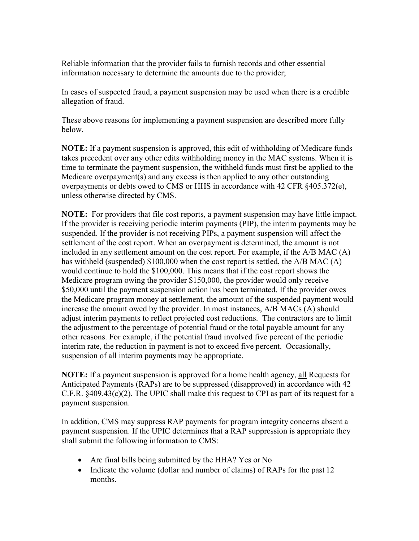Reliable information that the provider fails to furnish records and other essential information necessary to determine the amounts due to the provider;

In cases of suspected fraud, a payment suspension may be used when there is a credible allegation of fraud.

These above reasons for implementing a payment suspension are described more fully below.

**NOTE:** If a payment suspension is approved, this edit of withholding of Medicare funds takes precedent over any other edits withholding money in the MAC systems. When it is time to terminate the payment suspension, the withheld funds must first be applied to the Medicare overpayment(s) and any excess is then applied to any other outstanding overpayments or debts owed to CMS or HHS in accordance with 42 CFR §405.372(e), unless otherwise directed by CMS.

**NOTE:** For providers that file cost reports, a payment suspension may have little impact. If the provider is receiving periodic interim payments (PIP), the interim payments may be suspended. If the provider is not receiving PIPs, a payment suspension will affect the settlement of the cost report. When an overpayment is determined, the amount is not included in any settlement amount on the cost report. For example, if the A/B MAC (A) has withheld (suspended) \$100,000 when the cost report is settled, the A/B MAC (A) would continue to hold the \$100,000. This means that if the cost report shows the Medicare program owing the provider \$150,000, the provider would only receive \$50,000 until the payment suspension action has been terminated. If the provider owes the Medicare program money at settlement, the amount of the suspended payment would increase the amount owed by the provider. In most instances, A/B MACs (A) should adjust interim payments to reflect projected cost reductions. The contractors are to limit the adjustment to the percentage of potential fraud or the total payable amount for any other reasons. For example, if the potential fraud involved five percent of the periodic interim rate, the reduction in payment is not to exceed five percent. Occasionally, suspension of all interim payments may be appropriate.

**NOTE:** If a payment suspension is approved for a home health agency, all Requests for Anticipated Payments (RAPs) are to be suppressed (disapproved) in accordance with 42 C.F.R. §409.43(c)(2). The UPIC shall make this request to CPI as part of its request for a payment suspension.

In addition, CMS may suppress RAP payments for program integrity concerns absent a payment suspension. If the UPIC determines that a RAP suppression is appropriate they shall submit the following information to CMS:

- Are final bills being submitted by the HHA? Yes or No
- Indicate the volume (dollar and number of claims) of RAPs for the past 12 months.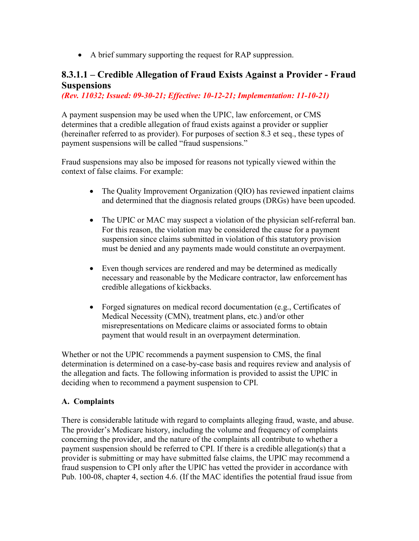• A brief summary supporting the request for RAP suppression.

## <span id="page-14-0"></span>**8.3.1.1 – Credible Allegation of Fraud Exists Against a Provider - Fraud Suspensions**

*(Rev. 11032; Issued: 09-30-21; Effective: 10-12-21; Implementation: 11-10-21)*

A payment suspension may be used when the UPIC, law enforcement, or CMS determines that a credible allegation of fraud exists against a provider or supplier (hereinafter referred to as provider). For purposes of section 8.3 et seq., these types of payment suspensions will be called "fraud suspensions."

Fraud suspensions may also be imposed for reasons not typically viewed within the context of false claims. For example:

- The Quality Improvement Organization (QIO) has reviewed inpatient claims and determined that the diagnosis related groups (DRGs) have been upcoded.
- The UPIC or MAC may suspect a violation of the physician self-referral ban. For this reason, the violation may be considered the cause for a payment suspension since claims submitted in violation of this statutory provision must be denied and any payments made would constitute an overpayment.
- Even though services are rendered and may be determined as medically necessary and reasonable by the Medicare contractor, law enforcement has credible allegations of kickbacks.
- Forged signatures on medical record documentation (e.g., Certificates of Medical Necessity (CMN), treatment plans, etc.) and/or other misrepresentations on Medicare claims or associated forms to obtain payment that would result in an overpayment determination.

Whether or not the UPIC recommends a payment suspension to CMS, the final determination is determined on a case-by-case basis and requires review and analysis of the allegation and facts. The following information is provided to assist the UPIC in deciding when to recommend a payment suspension to CPI.

### **A. Complaints**

There is considerable latitude with regard to complaints alleging fraud, waste, and abuse. The provider's Medicare history, including the volume and frequency of complaints concerning the provider, and the nature of the complaints all contribute to whether a payment suspension should be referred to CPI. If there is a credible allegation(s) that a provider is submitting or may have submitted false claims, the UPIC may recommend a fraud suspension to CPI only after the UPIC has vetted the provider in accordance with Pub. 100-08, chapter 4, section 4.6. (If the MAC identifies the potential fraud issue from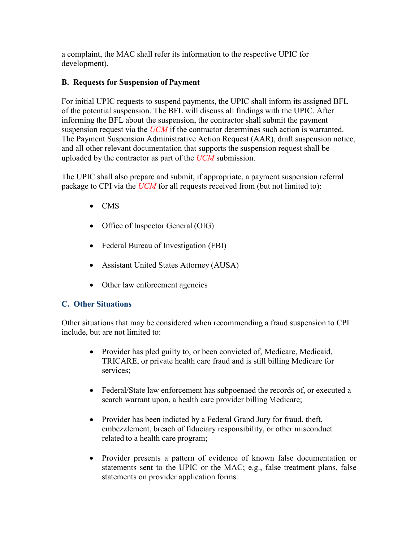a complaint, the MAC shall refer its information to the respective UPIC for development).

### **B. Requests for Suspension of Payment**

For initial UPIC requests to suspend payments, the UPIC shall inform its assigned BFL of the potential suspension. The BFL will discuss all findings with the UPIC. After informing the BFL about the suspension, the contractor shall submit the payment suspension request via the *UCM* if the contractor determines such action is warranted. The Payment Suspension Administrative Action Request (AAR), draft suspension notice, and all other relevant documentation that supports the suspension request shall be uploaded by the contractor as part of the *UCM* submission.

The UPIC shall also prepare and submit, if appropriate, a payment suspension referral package to CPI via the *UCM* for all requests received from (but not limited to):

- CMS
- Office of Inspector General (OIG)
- Federal Bureau of Investigation (FBI)
- Assistant United States Attorney (AUSA)
- Other law enforcement agencies

### **C. Other Situations**

Other situations that may be considered when recommending a fraud suspension to CPI include, but are not limited to:

- Provider has pled guilty to, or been convicted of, Medicare, Medicaid, TRICARE, or private health care fraud and is still billing Medicare for services;
- Federal/State law enforcement has subpoenaed the records of, or executed a search warrant upon, a health care provider billing Medicare;
- Provider has been indicted by a Federal Grand Jury for fraud, theft, embezzlement, breach of fiduciary responsibility, or other misconduct related to a health care program;
- Provider presents a pattern of evidence of known false documentation or statements sent to the UPIC or the MAC; e.g., false treatment plans, false statements on provider application forms.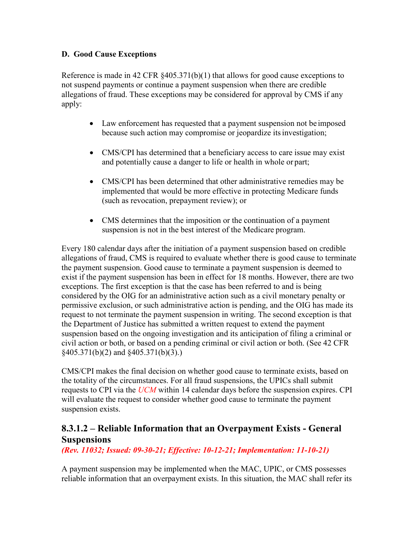#### **D. Good Cause Exceptions**

Reference is made in 42 CFR §405.371(b)(1) that allows for good cause exceptions to not suspend payments or continue a payment suspension when there are credible allegations of fraud. These exceptions may be considered for approval by CMS if any apply:

- Law enforcement has requested that a payment suspension not be imposed because such action may compromise or jeopardize itsinvestigation;
- CMS/CPI has determined that a beneficiary access to care issue may exist and potentially cause a danger to life or health in whole or part;
- CMS/CPI has been determined that other administrative remedies may be implemented that would be more effective in protecting Medicare funds (such as revocation, prepayment review); or
- CMS determines that the imposition or the continuation of a payment suspension is not in the best interest of the Medicare program.

Every 180 calendar days after the initiation of a payment suspension based on credible allegations of fraud, CMS is required to evaluate whether there is good cause to terminate the payment suspension. Good cause to terminate a payment suspension is deemed to exist if the payment suspension has been in effect for 18 months. However, there are two exceptions. The first exception is that the case has been referred to and is being considered by the OIG for an administrative action such as a civil monetary penalty or permissive exclusion, or such administrative action is pending, and the OIG has made its request to not terminate the payment suspension in writing. The second exception is that the Department of Justice has submitted a written request to extend the payment suspension based on the ongoing investigation and its anticipation of filing a criminal or civil action or both, or based on a pending criminal or civil action or both. (See 42 CFR §405.371(b)(2) and §405.371(b)(3).)

CMS/CPI makes the final decision on whether good cause to terminate exists, based on the totality of the circumstances. For all fraud suspensions, the UPICs shall submit requests to CPI via the *UCM* within 14 calendar days before the suspension expires. CPI will evaluate the request to consider whether good cause to terminate the payment suspension exists.

## <span id="page-16-0"></span>**8.3.1.2 – Reliable Information that an Overpayment Exists - General Suspensions**

<span id="page-16-1"></span>*(Rev. 11032; Issued: 09-30-21; Effective: 10-12-21; Implementation: 11-10-21)*

A payment suspension may be implemented when the MAC, UPIC, or CMS possesses reliable information that an overpayment exists. In this situation, the MAC shall refer its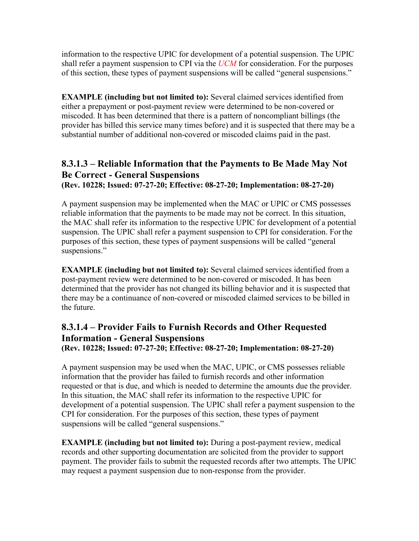information to the respective UPIC for development of a potential suspension. The UPIC shall refer a payment suspension to CPI via the *UCM* for consideration. For the purposes of this section, these types of payment suspensions will be called "general suspensions."

**EXAMPLE** (including but not limited to): Several claimed services identified from either a prepayment or post-payment review were determined to be non-covered or miscoded. It has been determined that there is a pattern of noncompliant billings (the provider has billed this service many times before) and it is suspected that there may be a substantial number of additional non-covered or miscoded claims paid in the past.

# **8.3.1.3 – Reliable Information that the Payments to Be Made May Not Be Correct - General Suspensions**

**(Rev. 10228; Issued: 07-27-20; Effective: 08-27-20; Implementation: 08-27-20)**

A payment suspension may be implemented when the MAC or UPIC or CMS possesses reliable information that the payments to be made may not be correct. In this situation, the MAC shall refer its information to the respective UPIC for development of a potential suspension. The UPIC shall refer a payment suspension to CPI for consideration. Forthe purposes of this section, these types of payment suspensions will be called "general suspensions."

**EXAMPLE** (including but not limited to): Several claimed services identified from a post-payment review were determined to be non-covered or miscoded. It has been determined that the provider has not changed its billing behavior and it is suspected that there may be a continuance of non-covered or miscoded claimed services to be billed in the future.

### <span id="page-17-0"></span>**8.3.1.4 – Provider Fails to Furnish Records and Other Requested Information - General Suspensions (Rev. 10228; Issued: 07-27-20; Effective: 08-27-20; Implementation: 08-27-20)**

A payment suspension may be used when the MAC, UPIC, or CMS possesses reliable information that the provider has failed to furnish records and other information requested or that is due, and which is needed to determine the amounts due the provider. In this situation, the MAC shall refer its information to the respective UPIC for development of a potential suspension. The UPIC shall refer a payment suspension to the CPI for consideration. For the purposes of this section, these types of payment suspensions will be called "general suspensions."

**EXAMPLE (including but not limited to):** During a post-payment review, medical records and other supporting documentation are solicited from the provider to support payment. The provider fails to submit the requested records after two attempts. The UPIC may request a payment suspension due to non-response from the provider.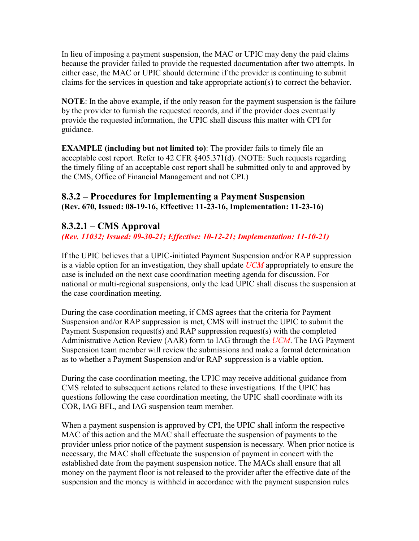In lieu of imposing a payment suspension, the MAC or UPIC may deny the paid claims because the provider failed to provide the requested documentation after two attempts. In either case, the MAC or UPIC should determine if the provider is continuing to submit claims for the services in question and take appropriate action(s) to correct the behavior.

**NOTE**: In the above example, if the only reason for the payment suspension is the failure by the provider to furnish the requested records, and if the provider does eventually provide the requested information, the UPIC shall discuss this matter with CPI for guidance.

**EXAMPLE (including but not limited to)**: The provider fails to timely file an acceptable cost report. Refer to 42 CFR §405.371(d). (NOTE: Such requests regarding the timely filing of an acceptable cost report shall be submitted only to and approved by the CMS, Office of Financial Management and not CPI.)

## <span id="page-18-0"></span>**8.3.2 – Procedures for Implementing a Payment Suspension (Rev. 670, Issued: 08-19-16, Effective: 11-23-16, Implementation: 11-23-16)**

## <span id="page-18-1"></span>**8.3.2.1 – CMS Approval**

*(Rev. 11032; Issued: 09-30-21; Effective: 10-12-21; Implementation: 11-10-21)*

If the UPIC believes that a UPIC-initiated Payment Suspension and/or RAP suppression is a viable option for an investigation, they shall update *UCM* appropriately to ensure the case is included on the next case coordination meeting agenda for discussion. For national or multi-regional suspensions, only the lead UPIC shall discuss the suspension at the case coordination meeting.

During the case coordination meeting, if CMS agrees that the criteria for Payment Suspension and/or RAP suppression is met, CMS will instruct the UPIC to submit the Payment Suspension request(s) and RAP suppression request(s) with the completed Administrative Action Review (AAR) form to IAG through the *UCM*. The IAG Payment Suspension team member will review the submissions and make a formal determination as to whether a Payment Suspension and/or RAP suppression is a viable option.

During the case coordination meeting, the UPIC may receive additional guidance from CMS related to subsequent actions related to these investigations. If the UPIC has questions following the case coordination meeting, the UPIC shall coordinate with its COR, IAG BFL, and IAG suspension team member.

When a payment suspension is approved by CPI, the UPIC shall inform the respective MAC of this action and the MAC shall effectuate the suspension of payments to the provider unless prior notice of the payment suspension is necessary. When prior notice is necessary, the MAC shall effectuate the suspension of payment in concert with the established date from the payment suspension notice. The MACs shall ensure that all money on the payment floor is not released to the provider after the effective date of the suspension and the money is withheld in accordance with the payment suspension rules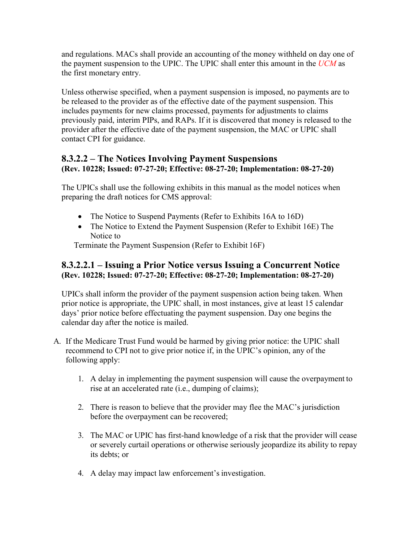and regulations. MACs shall provide an accounting of the money withheld on day one of the payment suspension to the UPIC. The UPIC shall enter this amount in the *UCM* as the first monetary entry.

Unless otherwise specified, when a payment suspension is imposed, no payments are to be released to the provider as of the effective date of the payment suspension. This includes payments for new claims processed, payments for adjustments to claims previously paid, interim PIPs, and RAPs. If it is discovered that money is released to the provider after the effective date of the payment suspension, the MAC or UPIC shall contact CPI for guidance.

## <span id="page-19-0"></span>**8.3.2.2 – The Notices Involving Payment Suspensions (Rev. 10228; Issued: 07-27-20; Effective: 08-27-20; Implementation: 08-27-20)**

The UPICs shall use the following exhibits in this manual as the model notices when preparing the draft notices for CMS approval:

- The Notice to Suspend Payments (Refer to Exhibits 16A to 16D)
- The Notice to Extend the Payment Suspension (Refer to Exhibit 16E) The Notice to

Terminate the Payment Suspension (Refer to Exhibit 16F)

### <span id="page-19-1"></span>**8.3.2.2.1 – Issuing a Prior Notice versus Issuing a Concurrent Notice (Rev. 10228; Issued: 07-27-20; Effective: 08-27-20; Implementation: 08-27-20)**

UPICs shall inform the provider of the payment suspension action being taken. When prior notice is appropriate, the UPIC shall, in most instances, give at least 15 calendar days' prior notice before effectuating the payment suspension. Day one begins the calendar day after the notice is mailed.

- A. If the Medicare Trust Fund would be harmed by giving prior notice: the UPIC shall recommend to CPI not to give prior notice if, in the UPIC's opinion, any of the following apply:
	- 1. A delay in implementing the payment suspension will cause the overpayment to rise at an accelerated rate (i.e., dumping of claims);
	- 2. There is reason to believe that the provider may flee the MAC's jurisdiction before the overpayment can be recovered;
	- 3. The MAC or UPIC has first-hand knowledge of a risk that the provider will cease or severely curtail operations or otherwise seriously jeopardize its ability to repay its debts; or
	- 4. A delay may impact law enforcement's investigation.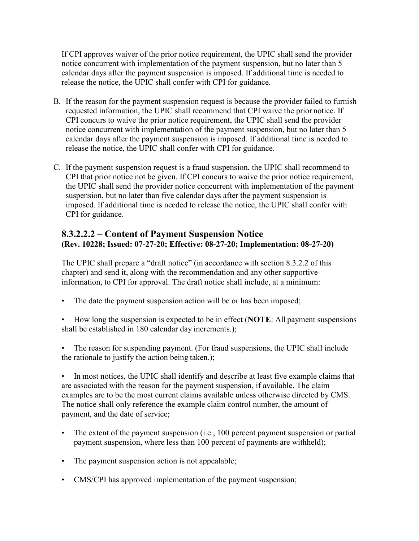If CPI approves waiver of the prior notice requirement, the UPIC shall send the provider notice concurrent with implementation of the payment suspension, but no later than 5 calendar days after the payment suspension is imposed. If additional time is needed to release the notice, the UPIC shall confer with CPI for guidance.

- B. If the reason for the payment suspension request is because the provider failed to furnish requested information, the UPIC shall recommend that CPI waive the prior notice. If CPI concurs to waive the prior notice requirement, the UPIC shall send the provider notice concurrent with implementation of the payment suspension, but no later than 5 calendar days after the payment suspension is imposed. If additional time is needed to release the notice, the UPIC shall confer with CPI for guidance.
- C. If the payment suspension request is a fraud suspension, the UPIC shall recommend to CPI that prior notice not be given. If CPI concurs to waive the prior notice requirement, the UPIC shall send the provider notice concurrent with implementation of the payment suspension, but no later than five calendar days after the payment suspension is imposed. If additional time is needed to release the notice, the UPIC shall confer with CPI for guidance.

## <span id="page-20-0"></span>**8.3.2.2.2 – Content of Payment Suspension Notice (Rev. 10228; Issued: 07-27-20; Effective: 08-27-20; Implementation: 08-27-20)**

The UPIC shall prepare a "draft notice" (in accordance with section 8.3.2.2 of this chapter) and send it, along with the recommendation and any other supportive information, to CPI for approval. The draft notice shall include, at a minimum:

- The date the payment suspension action will be or has been imposed;
- How long the suspension is expected to be in effect (**NOTE**: All payment suspensions shall be established in 180 calendar day increments.);
- The reason for suspending payment. (For fraud suspensions, the UPIC shall include the rationale to justify the action being taken.);

• In most notices, the UPIC shall identify and describe at least five example claims that are associated with the reason for the payment suspension, if available. The claim examples are to be the most current claims available unless otherwise directed by CMS. The notice shall only reference the example claim control number, the amount of payment, and the date of service;

- The extent of the payment suspension (i.e., 100 percent payment suspension or partial payment suspension, where less than 100 percent of payments are withheld);
- The payment suspension action is not appealable;
- CMS/CPI has approved implementation of the payment suspension;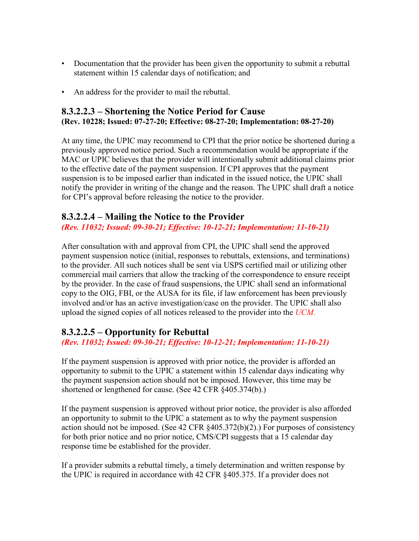- Documentation that the provider has been given the opportunity to submit a rebuttal statement within 15 calendar days of notification; and
- An address for the provider to mail the rebuttal.

## <span id="page-21-0"></span>**8.3.2.2.3 – Shortening the Notice Period for Cause (Rev. 10228; Issued: 07-27-20; Effective: 08-27-20; Implementation: 08-27-20)**

At any time, the UPIC may recommend to CPI that the prior notice be shortened during a previously approved notice period. Such a recommendation would be appropriate if the MAC or UPIC believes that the provider will intentionally submit additional claims prior to the effective date of the payment suspension. If CPI approves that the payment suspension is to be imposed earlier than indicated in the issued notice, the UPIC shall notify the provider in writing of the change and the reason. The UPIC shall draft a notice for CPI's approval before releasing the notice to the provider.

## <span id="page-21-1"></span>**8.3.2.2.4 – Mailing the Notice to the Provider**

*(Rev. 11032; Issued: 09-30-21; Effective: 10-12-21; Implementation: 11-10-21)*

After consultation with and approval from CPI, the UPIC shall send the approved payment suspension notice (initial, responses to rebuttals, extensions, and terminations) to the provider. All such notices shall be sent via USPS certified mail or utilizing other commercial mail carriers that allow the tracking of the correspondence to ensure receipt by the provider. In the case of fraud suspensions, the UPIC shall send an informational copy to the OIG, FBI, or the AUSA for its file, if law enforcement has been previously involved and/or has an active investigation/case on the provider. The UPIC shall also upload the signed copies of all notices released to the provider into the *UCM.*

## <span id="page-21-2"></span>**8.3.2.2.5 – Opportunity for Rebuttal**

*(Rev. 11032; Issued: 09-30-21; Effective: 10-12-21; Implementation: 11-10-21)*

If the payment suspension is approved with prior notice, the provider is afforded an opportunity to submit to the UPIC a statement within 15 calendar days indicating why the payment suspension action should not be imposed. However, this time may be shortened or lengthened for cause. (See 42 CFR §405.374(b).)

If the payment suspension is approved without prior notice, the provider is also afforded an opportunity to submit to the UPIC a statement as to why the payment suspension action should not be imposed. (See 42 CFR §405.372(b)(2).) For purposes of consistency for both prior notice and no prior notice, CMS/CPI suggests that a 15 calendar day response time be established for the provider.

If a provider submits a rebuttal timely, a timely determination and written response by the UPIC is required in accordance with 42 CFR §405.375. If a provider does not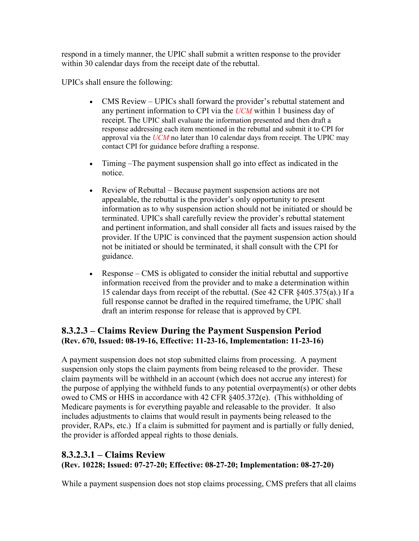respond in a timely manner, the UPIC shall submit a written response to the provider within 30 calendar days from the receipt date of the rebuttal.

UPICs shall ensure the following:

- CMS Review UPICs shall forward the provider's rebuttal statement and any pertinent information to CPI via the *UCM* within 1 business day of receipt. The UPIC shall evaluate the information presented and then draft a response addressing each item mentioned in the rebuttal and submit it to CPI for approval via the *UCM* no later than 10 calendar days from receipt. The UPIC may contact CPI for guidance before drafting a response.
- Timing –The payment suspension shall go into effect as indicated in the notice.
- Review of Rebuttal Because payment suspension actions are not appealable, the rebuttal is the provider's only opportunity to present information as to why suspension action should not be initiated or should be terminated. UPICs shall carefully review the provider's rebuttal statement and pertinent information, and shall consider all facts and issues raised by the provider. If the UPIC is convinced that the payment suspension action should not be initiated or should be terminated, it shall consult with the CPI for guidance.
- Response CMS is obligated to consider the initial rebuttal and supportive information received from the provider and to make a determination within 15 calendar days from receipt of the rebuttal. (See 42 CFR §405.375(a).) If a full response cannot be drafted in the required timeframe, the UPIC shall draft an interim response for release that is approved byCPI.

## <span id="page-22-0"></span>**8.3.2.3 – Claims Review During the Payment Suspension Period (Rev. 670, Issued: 08-19-16, Effective: 11-23-16, Implementation: 11-23-16)**

A payment suspension does not stop submitted claims from processing. A payment suspension only stops the claim payments from being released to the provider. These claim payments will be withheld in an account (which does not accrue any interest) for the purpose of applying the withheld funds to any potential overpayment(s) or other debts owed to CMS or HHS in accordance with 42 CFR §405.372(e). (This withholding of Medicare payments is for everything payable and releasable to the provider. It also includes adjustments to claims that would result in payments being released to the provider, RAPs, etc.) If a claim is submitted for payment and is partially or fully denied, the provider is afforded appeal rights to those denials.

### <span id="page-22-1"></span>**8.3.2.3.1 – Claims Review (Rev. 10228; Issued: 07-27-20; Effective: 08-27-20; Implementation: 08-27-20)**

While a payment suspension does not stop claims processing, CMS prefers that all claims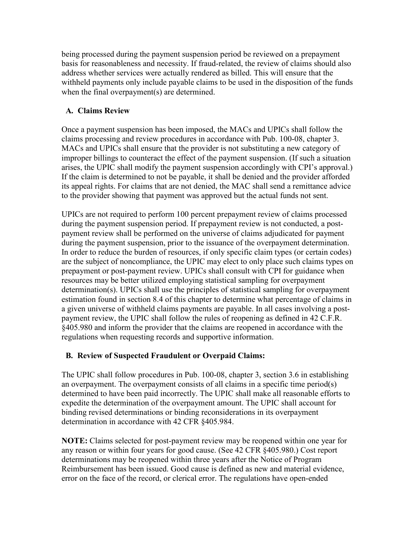being processed during the payment suspension period be reviewed on a prepayment basis for reasonableness and necessity. If fraud-related, the review of claims should also address whether services were actually rendered as billed. This will ensure that the withheld payments only include payable claims to be used in the disposition of the funds when the final overpayment(s) are determined.

#### **A. Claims Review**

Once a payment suspension has been imposed, the MACs and UPICs shall follow the claims processing and review procedures in accordance with Pub. 100-08, chapter 3. MACs and UPICs shall ensure that the provider is not substituting a new category of improper billings to counteract the effect of the payment suspension. (If such a situation arises, the UPIC shall modify the payment suspension accordingly with CPI's approval.) If the claim is determined to not be payable, it shall be denied and the provider afforded its appeal rights. For claims that are not denied, the MAC shall send a remittance advice to the provider showing that payment was approved but the actual funds not sent.

UPICs are not required to perform 100 percent prepayment review of claims processed during the payment suspension period. If prepayment review is not conducted, a postpayment review shall be performed on the universe of claims adjudicated for payment during the payment suspension, prior to the issuance of the overpayment determination. In order to reduce the burden of resources, if only specific claim types (or certain codes) are the subject of noncompliance, the UPIC may elect to only place such claims types on prepayment or post-payment review. UPICs shall consult with CPI for guidance when resources may be better utilized employing statistical sampling for overpayment determination(s). UPICs shall use the principles of statistical sampling for overpayment estimation found in section 8.4 of this chapter to determine what percentage of claims in a given universe of withheld claims payments are payable. In all cases involving a postpayment review, the UPIC shall follow the rules of reopening as defined in 42 C.F.R. §405.980 and inform the provider that the claims are reopened in accordance with the regulations when requesting records and supportive information.

### **B. Review of Suspected Fraudulent or Overpaid Claims:**

The UPIC shall follow procedures in Pub. 100-08, chapter 3, section 3.6 in establishing an overpayment. The overpayment consists of all claims in a specific time period(s) determined to have been paid incorrectly. The UPIC shall make all reasonable efforts to expedite the determination of the overpayment amount. The UPIC shall account for binding revised determinations or binding reconsiderations in its overpayment determination in accordance with 42 CFR §405.984.

**NOTE:** Claims selected for post-payment review may be reopened within one year for any reason or within four years for good cause. (See 42 CFR §405.980.) Cost report determinations may be reopened within three years after the Notice of Program Reimbursement has been issued. Good cause is defined as new and material evidence, error on the face of the record, or clerical error. The regulations have open-ended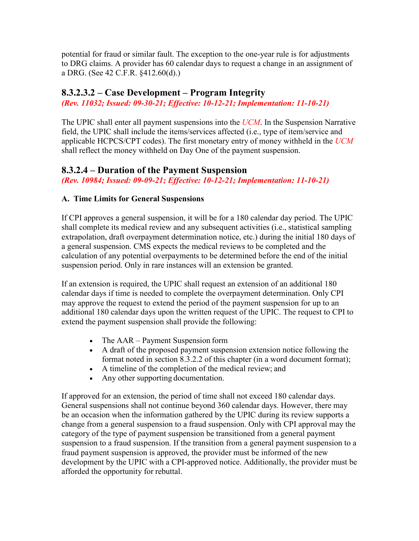potential for fraud or similar fault. The exception to the one-year rule is for adjustments to DRG claims. A provider has 60 calendar days to request a change in an assignment of a DRG. (See 42 C.F.R. §412.60(d).)

## <span id="page-24-0"></span>**8.3.2.3.2 – Case Development – Program Integrity**

*(Rev. 11032; Issued: 09-30-21; Effective: 10-12-21; Implementation: 11-10-21)*

The UPIC shall enter all payment suspensions into the *UCM*. In the Suspension Narrative field, the UPIC shall include the items/services affected (i.e., type of item/service and applicable HCPCS/CPT codes). The first monetary entry of money withheld in the *UCM*  shall reflect the money withheld on Day One of the payment suspension.

### <span id="page-24-1"></span>**8.3.2.4 – Duration of the Payment Suspension**

<span id="page-24-2"></span>*(Rev. 10984; Issued: 09-09-21; Effective: 10-12-21; Implementation: 11-10-21)*

### **A. Time Limits for General Suspensions**

If CPI approves a general suspension, it will be for a 180 calendar day period. The UPIC shall complete its medical review and any subsequent activities (i.e., statistical sampling extrapolation, draft overpayment determination notice, etc.) during the initial 180 days of a general suspension. CMS expects the medical reviews to be completed and the calculation of any potential overpayments to be determined before the end of the initial suspension period. Only in rare instances will an extension be granted.

If an extension is required, the UPIC shall request an extension of an additional 180 calendar days if time is needed to complete the overpayment determination. Only CPI may approve the request to extend the period of the payment suspension for up to an additional 180 calendar days upon the written request of the UPIC. The request to CPI to extend the payment suspension shall provide the following:

- The AAR Payment Suspension form
- A draft of the proposed payment suspension extension notice following the format noted in section 8.3.2.2 of this chapter (in a word document format);
- A timeline of the completion of the medical review; and
- Any other supporting documentation.

If approved for an extension, the period of time shall not exceed 180 calendar days. General suspensions shall not continue beyond 360 calendar days. However, there may be an occasion when the information gathered by the UPIC during its review supports a change from a general suspension to a fraud suspension. Only with CPI approval may the category of the type of payment suspension be transitioned from a general payment suspension to a fraud suspension. If the transition from a general payment suspension to a fraud payment suspension is approved, the provider must be informed of the new development by the UPIC with a CPI-approved notice. Additionally, the provider must be afforded the opportunity for rebuttal.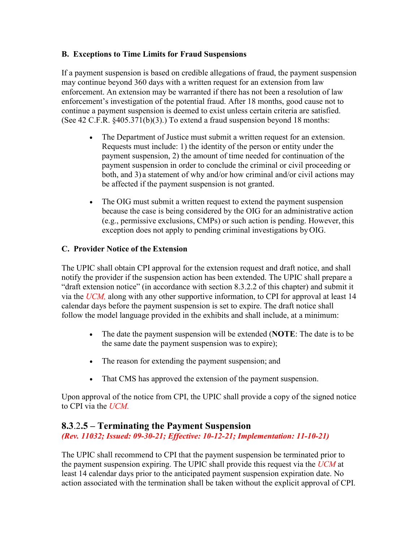### **B. Exceptions to Time Limits for Fraud Suspensions**

If a payment suspension is based on credible allegations of fraud, the payment suspension may continue beyond 360 days with a written request for an extension from law enforcement. An extension may be warranted if there has not been a resolution of law enforcement's investigation of the potential fraud. After 18 months, good cause not to continue a payment suspension is deemed to exist unless certain criteria are satisfied. (See 42 C.F.R. §405.371(b)(3).) To extend a fraud suspension beyond 18 months:

- The Department of Justice must submit a written request for an extension. Requests must include: 1) the identity of the person or entity under the payment suspension, 2) the amount of time needed for continuation of the payment suspension in order to conclude the criminal or civil proceeding or both, and 3) a statement of why and/or how criminal and/or civil actions may be affected if the payment suspension is not granted.
- The OIG must submit a written request to extend the payment suspension because the case is being considered by the OIG for an administrative action (e.g., permissive exclusions, CMPs) or such action is pending. However, this exception does not apply to pending criminal investigations byOIG.

### **C. Provider Notice of the Extension**

The UPIC shall obtain CPI approval for the extension request and draft notice, and shall notify the provider if the suspension action has been extended. The UPIC shall prepare a "draft extension notice" (in accordance with section 8.3.2.2 of this chapter) and submit it via the *UCM,* along with any other supportive information, to CPI for approval at least 14 calendar days before the payment suspension is set to expire. The draft notice shall follow the model language provided in the exhibits and shall include, at a minimum:

- The date the payment suspension will be extended (**NOTE**: The date is to be the same date the payment suspension was to expire);
- The reason for extending the payment suspension; and
- That CMS has approved the extension of the payment suspension.

Upon approval of the notice from CPI, the UPIC shall provide a copy of the signed notice to CPI via the *UCM.*

## **8.3**.2**.5 – Terminating the Payment Suspension**

*(Rev. 11032; Issued: 09-30-21; Effective: 10-12-21; Implementation: 11-10-21)*

The UPIC shall recommend to CPI that the payment suspension be terminated prior to the payment suspension expiring. The UPIC shall provide this request via the *UCM* at least 14 calendar days prior to the anticipated payment suspension expiration date. No action associated with the termination shall be taken without the explicit approval of CPI.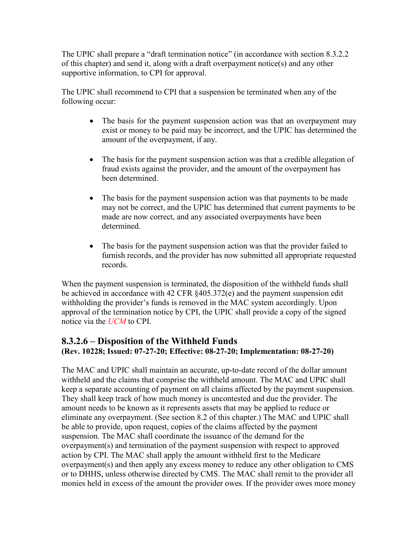The UPIC shall prepare a "draft termination notice" (in accordance with section 8.3.2.2) of this chapter) and send it, along with a draft overpayment notice(s) and any other supportive information, to CPI for approval.

The UPIC shall recommend to CPI that a suspension be terminated when any of the following occur:

- The basis for the payment suspension action was that an overpayment may exist or money to be paid may be incorrect, and the UPIC has determined the amount of the overpayment, if any.
- The basis for the payment suspension action was that a credible allegation of fraud exists against the provider, and the amount of the overpayment has been determined.
- The basis for the payment suspension action was that payments to be made may not be correct, and the UPIC has determined that current payments to be made are now correct, and any associated overpayments have been determined.
- The basis for the payment suspension action was that the provider failed to furnish records, and the provider has now submitted all appropriate requested records.

When the payment suspension is terminated, the disposition of the withheld funds shall be achieved in accordance with 42 CFR §405.372(e) and the payment suspension edit withholding the provider's funds is removed in the MAC system accordingly. Upon approval of the termination notice by CPI, the UPIC shall provide a copy of the signed notice via the *UCM* to CPI.

### <span id="page-26-0"></span>**8.3.2.6 – Disposition of the Withheld Funds (Rev. 10228; Issued: 07-27-20; Effective: 08-27-20; Implementation: 08-27-20)**

The MAC and UPIC shall maintain an accurate, up-to-date record of the dollar amount withheld and the claims that comprise the withheld amount. The MAC and UPIC shall keep a separate accounting of payment on all claims affected by the payment suspension. They shall keep track of how much money is uncontested and due the provider. The amount needs to be known as it represents assets that may be applied to reduce or eliminate any overpayment. (See section 8.2 of this chapter.) The MAC and UPIC shall be able to provide, upon request, copies of the claims affected by the payment suspension. The MAC shall coordinate the issuance of the demand for the overpayment(s) and termination of the payment suspension with respect to approved action by CPI. The MAC shall apply the amount withheld first to the Medicare overpayment(s) and then apply any excess money to reduce any other obligation to CMS or to DHHS, unless otherwise directed by CMS. The MAC shall remit to the provider all monies held in excess of the amount the provider owes. If the provider owes more money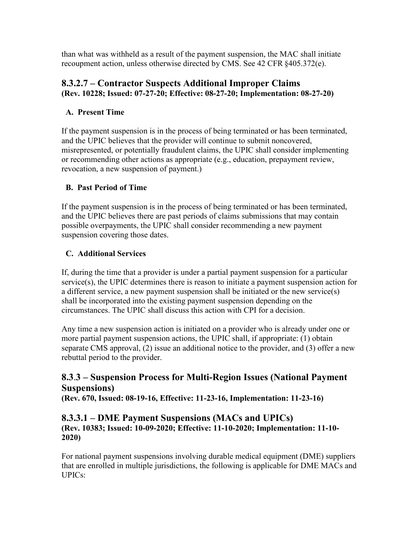than what was withheld as a result of the payment suspension, the MAC shall initiate recoupment action, unless otherwise directed by CMS. See 42 CFR §405.372(e).

## <span id="page-27-0"></span>**8.3.2.7 – Contractor Suspects Additional Improper Claims (Rev. 10228; Issued: 07-27-20; Effective: 08-27-20; Implementation: 08-27-20)**

## **A. Present Time**

If the payment suspension is in the process of being terminated or has been terminated, and the UPIC believes that the provider will continue to submit noncovered, misrepresented, or potentially fraudulent claims, the UPIC shall consider implementing or recommending other actions as appropriate (e.g., education, prepayment review, revocation, a new suspension of payment.)

### **B. Past Period of Time**

If the payment suspension is in the process of being terminated or has been terminated, and the UPIC believes there are past periods of claims submissions that may contain possible overpayments, the UPIC shall consider recommending a new payment suspension covering those dates.

## **C. Additional Services**

If, during the time that a provider is under a partial payment suspension for a particular service(s), the UPIC determines there is reason to initiate a payment suspension action for a different service, a new payment suspension shall be initiated or the new service(s) shall be incorporated into the existing payment suspension depending on the circumstances. The UPIC shall discuss this action with CPI for a decision.

Any time a new suspension action is initiated on a provider who is already under one or more partial payment suspension actions, the UPIC shall, if appropriate: (1) obtain separate CMS approval, (2) issue an additional notice to the provider, and (3) offer a new rebuttal period to the provider.

## <span id="page-27-1"></span>**8.3**.**3 – Suspension Process for Multi-Region Issues (National Payment Suspensions)**

**(Rev. 670, Issued: 08-19-16, Effective: 11-23-16, Implementation: 11-23-16)**

### <span id="page-27-2"></span>**8.3.3.1 – DME Payment Suspensions (MACs and UPICs) (Rev. 10383; Issued: 10-09-2020; Effective: 11-10-2020; Implementation: 11-10- 2020)**

For national payment suspensions involving durable medical equipment (DME) suppliers that are enrolled in multiple jurisdictions, the following is applicable for DME MACs and UPICs: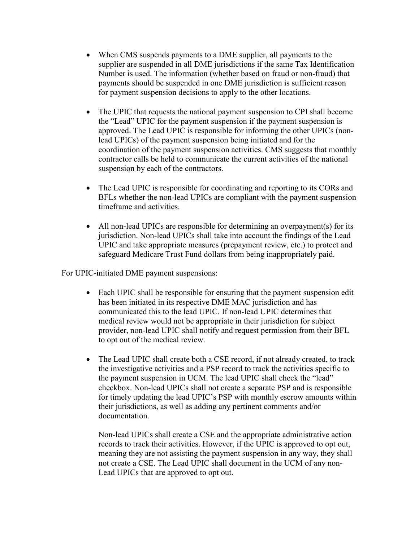- When CMS suspends payments to a DME supplier, all payments to the supplier are suspended in all DME jurisdictions if the same Tax Identification Number is used. The information (whether based on fraud or non-fraud) that payments should be suspended in one DME jurisdiction is sufficient reason for payment suspension decisions to apply to the other locations.
- The UPIC that requests the national payment suspension to CPI shall become the "Lead" UPIC for the payment suspension if the payment suspension is approved. The Lead UPIC is responsible for informing the other UPICs (nonlead UPICs) of the payment suspension being initiated and for the coordination of the payment suspension activities. CMS suggests that monthly contractor calls be held to communicate the current activities of the national suspension by each of the contractors.
- The Lead UPIC is responsible for coordinating and reporting to its CORs and BFLs whether the non-lead UPICs are compliant with the payment suspension timeframe and activities.
- All non-lead UPICs are responsible for determining an overpayment(s) for its jurisdiction. Non-lead UPICs shall take into account the findings of the Lead UPIC and take appropriate measures (prepayment review, etc.) to protect and safeguard Medicare Trust Fund dollars from being inappropriately paid.

For UPIC-initiated DME payment suspensions:

- Each UPIC shall be responsible for ensuring that the payment suspension edit has been initiated in its respective DME MAC jurisdiction and has communicated this to the lead UPIC. If non-lead UPIC determines that medical review would not be appropriate in their jurisdiction for subject provider, non-lead UPIC shall notify and request permission from their BFL to opt out of the medical review.
- The Lead UPIC shall create both a CSE record, if not already created, to track the investigative activities and a PSP record to track the activities specific to the payment suspension in UCM. The lead UPIC shall check the "lead" checkbox. Non-lead UPICs shall not create a separate PSP and is responsible for timely updating the lead UPIC's PSP with monthly escrow amounts within their jurisdictions, as well as adding any pertinent comments and/or documentation.

Non-lead UPICs shall create a CSE and the appropriate administrative action records to track their activities. However, if the UPIC is approved to opt out, meaning they are not assisting the payment suspension in any way, they shall not create a CSE. The Lead UPIC shall document in the UCM of any non-Lead UPICs that are approved to opt out.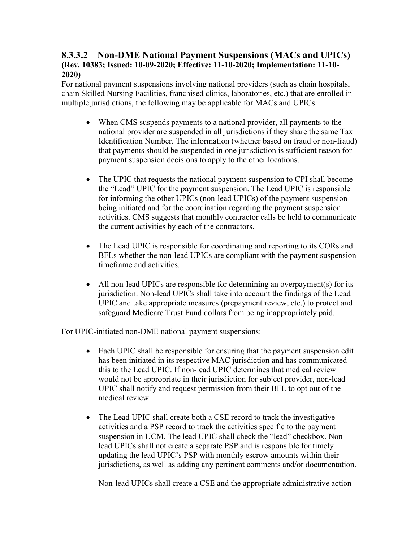### <span id="page-29-1"></span><span id="page-29-0"></span>**8.3.3.2 – Non-DME National Payment Suspensions (MACs and UPICs) (Rev. 10383; Issued: 10-09-2020; Effective: 11-10-2020; Implementation: 11-10- 2020)**

For national payment suspensions involving national providers (such as chain hospitals, chain Skilled Nursing Facilities, franchised clinics, laboratories, etc.) that are enrolled in multiple jurisdictions, the following may be applicable for MACs and UPICs:

- When CMS suspends payments to a national provider, all payments to the national provider are suspended in all jurisdictions if they share the same Tax Identification Number. The information (whether based on fraud or non-fraud) that payments should be suspended in one jurisdiction is sufficient reason for payment suspension decisions to apply to the other locations.
- The UPIC that requests the national payment suspension to CPI shall become the "Lead" UPIC for the payment suspension. The Lead UPIC is responsible for informing the other UPICs (non-lead UPICs) of the payment suspension being initiated and for the coordination regarding the payment suspension activities. CMS suggests that monthly contractor calls be held to communicate the current activities by each of the contractors.
- The Lead UPIC is responsible for coordinating and reporting to its CORs and BFLs whether the non-lead UPICs are compliant with the payment suspension timeframe and activities.
- All non-lead UPICs are responsible for determining an overpayment(s) for its jurisdiction. Non-lead UPICs shall take into account the findings of the Lead UPIC and take appropriate measures (prepayment review, etc.) to protect and safeguard Medicare Trust Fund dollars from being inappropriately paid.

For UPIC-initiated non-DME national payment suspensions:

- Each UPIC shall be responsible for ensuring that the payment suspension edit has been initiated in its respective MAC jurisdiction and has communicated this to the Lead UPIC. If non-lead UPIC determines that medical review would not be appropriate in their jurisdiction for subject provider, non-lead UPIC shall notify and request permission from their BFL to opt out of the medical review.
- The Lead UPIC shall create both a CSE record to track the investigative activities and a PSP record to track the activities specific to the payment suspension in UCM. The lead UPIC shall check the "lead" checkbox. Nonlead UPICs shall not create a separate PSP and is responsible for timely updating the lead UPIC's PSP with monthly escrow amounts within their jurisdictions, as well as adding any pertinent comments and/or documentation.

Non-lead UPICs shall create a CSE and the appropriate administrative action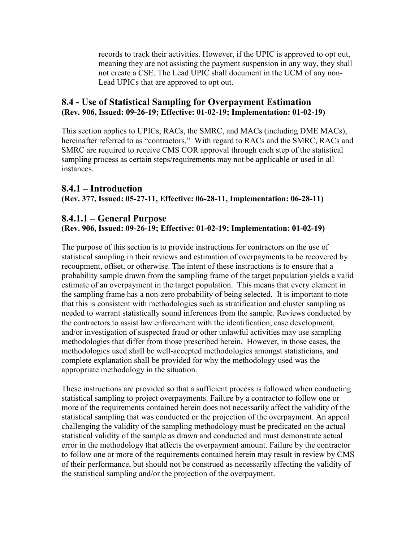records to track their activities. However, if the UPIC is approved to opt out, meaning they are not assisting the payment suspension in any way, they shall not create a CSE. The Lead UPIC shall document in the UCM of any non-Lead UPICs that are approved to opt out.

### **8.4 - Use of Statistical Sampling for Overpayment Estimation (Rev. 906, Issued: 09-26-19; Effective: 01-02-19; Implementation: 01-02-19)**

This section applies to UPICs, RACs, the SMRC, and MACs (including DME MACs), hereinafter referred to as "contractors." With regard to RACs and the SMRC, RACs and SMRC are required to receive CMS COR approval through each step of the statistical sampling process as certain steps/requirements may not be applicable or used in all instances.

### <span id="page-30-0"></span>**8.4.1 – Introduction (Rev. 377, Issued: 05-27-11, Effective: 06-28-11, Implementation: 06-28-11)**

## <span id="page-30-1"></span>**8.4.1.1 – General Purpose**

### **(Rev. 906, Issued: 09-26-19; Effective: 01-02-19; Implementation: 01-02-19)**

The purpose of this section is to provide instructions for contractors on the use of statistical sampling in their reviews and estimation of overpayments to be recovered by recoupment, offset, or otherwise. The intent of these instructions is to ensure that a probability sample drawn from the sampling frame of the target population yields a valid estimate of an overpayment in the target population. This means that every element in the sampling frame has a non-zero probability of being selected. It is important to note that this is consistent with methodologies such as stratification and cluster sampling as needed to warrant statistically sound inferences from the sample. Reviews conducted by the contractors to assist law enforcement with the identification, case development, and/or investigation of suspected fraud or other unlawful activities may use sampling methodologies that differ from those prescribed herein. However, in those cases, the methodologies used shall be well-accepted methodologies amongst statisticians, and complete explanation shall be provided for why the methodology used was the appropriate methodology in the situation.

These instructions are provided so that a sufficient process is followed when conducting statistical sampling to project overpayments. Failure by a contractor to follow one or more of the requirements contained herein does not necessarily affect the validity of the statistical sampling that was conducted or the projection of the overpayment. An appeal challenging the validity of the sampling methodology must be predicated on the actual statistical validity of the sample as drawn and conducted and must demonstrate actual error in the methodology that affects the overpayment amount. Failure by the contractor to follow one or more of the requirements contained herein may result in review by CMS of their performance, but should not be construed as necessarily affecting the validity of the statistical sampling and/or the projection of the overpayment.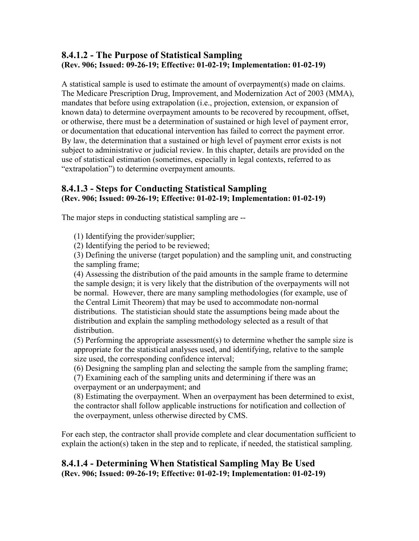## <span id="page-31-0"></span>**8.4.1.2 - The Purpose of Statistical Sampling (Rev. 906; Issued: 09-26-19; Effective: 01-02-19; Implementation: 01-02-19)**

A statistical sample is used to estimate the amount of overpayment(s) made on claims. The Medicare Prescription Drug, Improvement, and Modernization Act of 2003 (MMA), mandates that before using extrapolation (i.e., projection, extension, or expansion of known data) to determine overpayment amounts to be recovered by recoupment, offset, or otherwise, there must be a determination of sustained or high level of payment error, or documentation that educational intervention has failed to correct the payment error. By law, the determination that a sustained or high level of payment error exists is not subject to administrative or judicial review. In this chapter, details are provided on the use of statistical estimation (sometimes, especially in legal contexts, referred to as "extrapolation") to determine overpayment amounts.

## <span id="page-31-1"></span>**8.4.1.3 - Steps for Conducting Statistical Sampling (Rev. 906; Issued: 09-26-19; Effective: 01-02-19; Implementation: 01-02-19)**

The major steps in conducting statistical sampling are --

(1) Identifying the provider/supplier;

(2) Identifying the period to be reviewed;

(3) Defining the universe (target population) and the sampling unit, and constructing the sampling frame;

(4) Assessing the distribution of the paid amounts in the sample frame to determine the sample design; it is very likely that the distribution of the overpayments will not be normal. However, there are many sampling methodologies (for example, use of the Central Limit Theorem) that may be used to accommodate non-normal distributions. The statistician should state the assumptions being made about the distribution and explain the sampling methodology selected as a result of that distribution.

(5) Performing the appropriate assessment(s) to determine whether the sample size is appropriate for the statistical analyses used, and identifying, relative to the sample size used, the corresponding confidence interval;

(6) Designing the sampling plan and selecting the sample from the sampling frame; (7) Examining each of the sampling units and determining if there was an overpayment or an underpayment; and

(8) Estimating the overpayment. When an overpayment has been determined to exist, the contractor shall follow applicable instructions for notification and collection of the overpayment, unless otherwise directed by CMS.

For each step, the contractor shall provide complete and clear documentation sufficient to explain the action(s) taken in the step and to replicate, if needed, the statistical sampling.

### <span id="page-31-2"></span>**8.4.1.4 - Determining When Statistical Sampling May Be Used (Rev. 906; Issued: 09-26-19; Effective: 01-02-19; Implementation: 01-02-19)**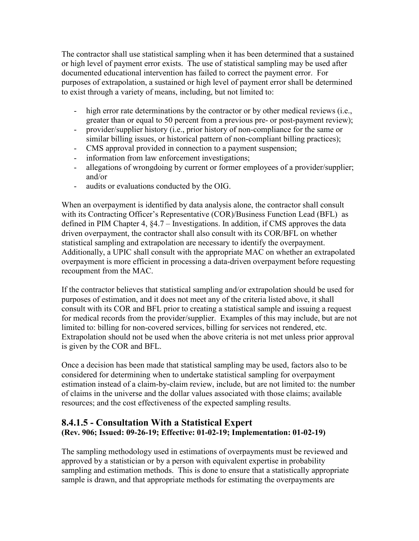The contractor shall use statistical sampling when it has been determined that a sustained or high level of payment error exists. The use of statistical sampling may be used after documented educational intervention has failed to correct the payment error. For purposes of extrapolation, a sustained or high level of payment error shall be determined to exist through a variety of means, including, but not limited to:

- high error rate determinations by the contractor or by other medical reviews (i.e., greater than or equal to 50 percent from a previous pre- or post-payment review);
- provider/supplier history (i.e., prior history of non-compliance for the same or similar billing issues, or historical pattern of non-compliant billing practices);
- CMS approval provided in connection to a payment suspension;
- information from law enforcement investigations;
- allegations of wrongdoing by current or former employees of a provider/supplier; and/or
- audits or evaluations conducted by the OIG.

When an overpayment is identified by data analysis alone, the contractor shall consult with its Contracting Officer's Representative (COR)/Business Function Lead (BFL) as defined in PIM Chapter 4, §4.7 – Investigations. In addition, if CMS approves the data driven overpayment, the contractor shall also consult with its COR/BFL on whether statistical sampling and extrapolation are necessary to identify the overpayment. Additionally, a UPIC shall consult with the appropriate MAC on whether an extrapolated overpayment is more efficient in processing a data-driven overpayment before requesting recoupment from the MAC.

If the contractor believes that statistical sampling and/or extrapolation should be used for purposes of estimation, and it does not meet any of the criteria listed above, it shall consult with its COR and BFL prior to creating a statistical sample and issuing a request for medical records from the provider/supplier. Examples of this may include, but are not limited to: billing for non-covered services, billing for services not rendered, etc. Extrapolation should not be used when the above criteria is not met unless prior approval is given by the COR and BFL.

Once a decision has been made that statistical sampling may be used, factors also to be considered for determining when to undertake statistical sampling for overpayment estimation instead of a claim-by-claim review, include, but are not limited to: the number of claims in the universe and the dollar values associated with those claims; available resources; and the cost effectiveness of the expected sampling results.

### <span id="page-32-0"></span>**8.4.1.5 - Consultation With a Statistical Expert (Rev. 906; Issued: 09-26-19; Effective: 01-02-19; Implementation: 01-02-19)**

The sampling methodology used in estimations of overpayments must be reviewed and approved by a statistician or by a person with equivalent expertise in probability sampling and estimation methods. This is done to ensure that a statistically appropriate sample is drawn, and that appropriate methods for estimating the overpayments are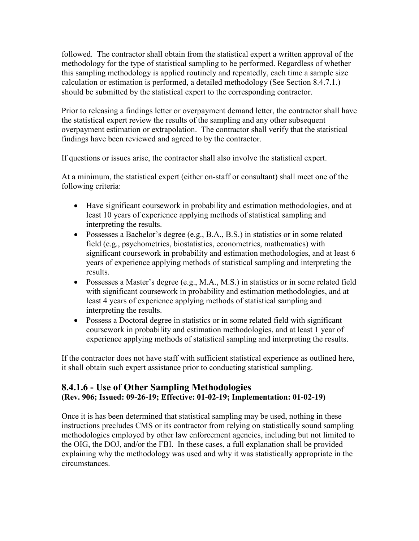followed. The contractor shall obtain from the statistical expert a written approval of the methodology for the type of statistical sampling to be performed. Regardless of whether this sampling methodology is applied routinely and repeatedly, each time a sample size calculation or estimation is performed, a detailed methodology (See Section 8.4.7.1.) should be submitted by the statistical expert to the corresponding contractor.

Prior to releasing a findings letter or overpayment demand letter, the contractor shall have the statistical expert review the results of the sampling and any other subsequent overpayment estimation or extrapolation. The contractor shall verify that the statistical findings have been reviewed and agreed to by the contractor.

If questions or issues arise, the contractor shall also involve the statistical expert.

At a minimum, the statistical expert (either on-staff or consultant) shall meet one of the following criteria:

- Have significant coursework in probability and estimation methodologies, and at least 10 years of experience applying methods of statistical sampling and interpreting the results.
- Possesses a Bachelor's degree (e.g., B.A., B.S.) in statistics or in some related field (e.g., psychometrics, biostatistics, econometrics, mathematics) with significant coursework in probability and estimation methodologies, and at least 6 years of experience applying methods of statistical sampling and interpreting the results.
- Possesses a Master's degree (e.g., M.A., M.S.) in statistics or in some related field with significant coursework in probability and estimation methodologies, and at least 4 years of experience applying methods of statistical sampling and interpreting the results.
- Possess a Doctoral degree in statistics or in some related field with significant coursework in probability and estimation methodologies, and at least 1 year of experience applying methods of statistical sampling and interpreting the results.

If the contractor does not have staff with sufficient statistical experience as outlined here, it shall obtain such expert assistance prior to conducting statistical sampling.

## <span id="page-33-0"></span>**8.4.1.6 - Use of Other Sampling Methodologies (Rev. 906; Issued: 09-26-19; Effective: 01-02-19; Implementation: 01-02-19)**

Once it is has been determined that statistical sampling may be used, nothing in these instructions precludes CMS or its contractor from relying on statistically sound sampling methodologies employed by other law enforcement agencies, including but not limited to the OIG, the DOJ, and/or the FBI. In these cases, a full explanation shall be provided explaining why the methodology was used and why it was statistically appropriate in the circumstances.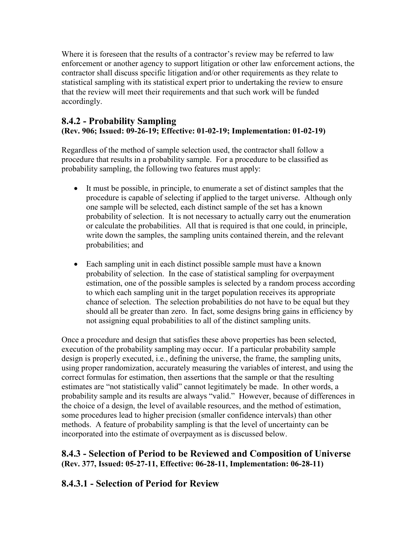Where it is foreseen that the results of a contractor's review may be referred to law enforcement or another agency to support litigation or other law enforcement actions, the contractor shall discuss specific litigation and/or other requirements as they relate to statistical sampling with its statistical expert prior to undertaking the review to ensure that the review will meet their requirements and that such work will be funded accordingly.

## <span id="page-34-0"></span>**8.4.2 - Probability Sampling (Rev. 906; Issued: 09-26-19; Effective: 01-02-19; Implementation: 01-02-19)**

Regardless of the method of sample selection used, the contractor shall follow a procedure that results in a probability sample. For a procedure to be classified as probability sampling, the following two features must apply:

- It must be possible, in principle, to enumerate a set of distinct samples that the procedure is capable of selecting if applied to the target universe. Although only one sample will be selected, each distinct sample of the set has a known probability of selection. It is not necessary to actually carry out the enumeration or calculate the probabilities. All that is required is that one could, in principle, write down the samples, the sampling units contained therein, and the relevant probabilities; and
- Each sampling unit in each distinct possible sample must have a known probability of selection. In the case of statistical sampling for overpayment estimation, one of the possible samples is selected by a random process according to which each sampling unit in the target population receives its appropriate chance of selection. The selection probabilities do not have to be equal but they should all be greater than zero. In fact, some designs bring gains in efficiency by not assigning equal probabilities to all of the distinct sampling units.

Once a procedure and design that satisfies these above properties has been selected, execution of the probability sampling may occur. If a particular probability sample design is properly executed, i.e., defining the universe, the frame, the sampling units, using proper randomization, accurately measuring the variables of interest, and using the correct formulas for estimation, then assertions that the sample or that the resulting estimates are "not statistically valid" cannot legitimately be made. In other words, a probability sample and its results are always "valid." However, because of differences in the choice of a design, the level of available resources, and the method of estimation, some procedures lead to higher precision (smaller confidence intervals) than other methods. A feature of probability sampling is that the level of uncertainty can be incorporated into the estimate of overpayment as is discussed below.

## <span id="page-34-1"></span>**8.4.3 - Selection of Period to be Reviewed and Composition of Universe (Rev. 377, Issued: 05-27-11, Effective: 06-28-11, Implementation: 06-28-11)**

## <span id="page-34-2"></span>**8.4.3.1 - Selection of Period for Review**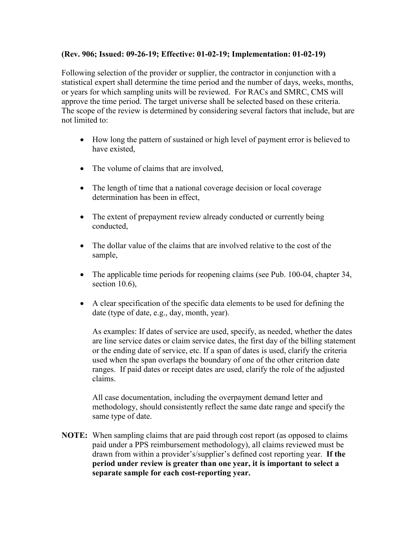#### **(Rev. 906; Issued: 09-26-19; Effective: 01-02-19; Implementation: 01-02-19)**

Following selection of the provider or supplier, the contractor in conjunction with a statistical expert shall determine the time period and the number of days, weeks, months, or years for which sampling units will be reviewed. For RACs and SMRC, CMS will approve the time period. The target universe shall be selected based on these criteria. The scope of the review is determined by considering several factors that include, but are not limited to:

- How long the pattern of sustained or high level of payment error is believed to have existed,
- The volume of claims that are involved,
- The length of time that a national coverage decision or local coverage determination has been in effect,
- The extent of prepayment review already conducted or currently being conducted,
- The dollar value of the claims that are involved relative to the cost of the sample,
- The applicable time periods for reopening claims (see Pub. 100-04, chapter 34, section 10.6),
- A clear specification of the specific data elements to be used for defining the date (type of date, e.g., day, month, year).

As examples: If dates of service are used, specify, as needed, whether the dates are line service dates or claim service dates, the first day of the billing statement or the ending date of service, etc. If a span of dates is used, clarify the criteria used when the span overlaps the boundary of one of the other criterion date ranges. If paid dates or receipt dates are used, clarify the role of the adjusted claims.

All case documentation, including the overpayment demand letter and methodology, should consistently reflect the same date range and specify the same type of date.

**NOTE:** When sampling claims that are paid through cost report (as opposed to claims paid under a PPS reimbursement methodology), all claims reviewed must be drawn from within a provider's/supplier's defined cost reporting year. **If the period under review is greater than one year, it is important to select a separate sample for each cost-reporting year.**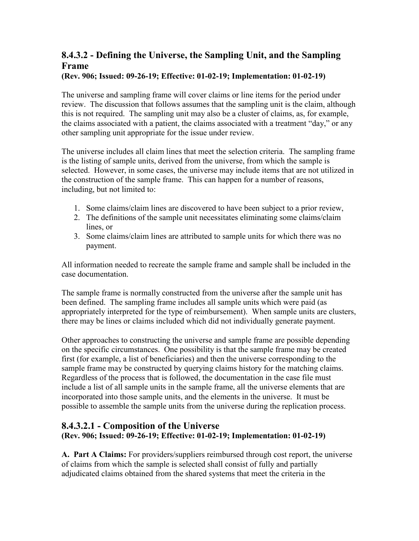## <span id="page-36-0"></span>**8.4.3.2 - Defining the Universe, the Sampling Unit, and the Sampling Frame**

#### **(Rev. 906; Issued: 09-26-19; Effective: 01-02-19; Implementation: 01-02-19)**

The universe and sampling frame will cover claims or line items for the period under review. The discussion that follows assumes that the sampling unit is the claim, although this is not required. The sampling unit may also be a cluster of claims, as, for example, the claims associated with a patient, the claims associated with a treatment "day," or any other sampling unit appropriate for the issue under review.

The universe includes all claim lines that meet the selection criteria. The sampling frame is the listing of sample units, derived from the universe, from which the sample is selected. However, in some cases, the universe may include items that are not utilized in the construction of the sample frame. This can happen for a number of reasons, including, but not limited to:

- 1. Some claims/claim lines are discovered to have been subject to a prior review,
- 2. The definitions of the sample unit necessitates eliminating some claims/claim lines, or
- 3. Some claims/claim lines are attributed to sample units for which there was no payment.

All information needed to recreate the sample frame and sample shall be included in the case documentation.

The sample frame is normally constructed from the universe after the sample unit has been defined. The sampling frame includes all sample units which were paid (as appropriately interpreted for the type of reimbursement). When sample units are clusters, there may be lines or claims included which did not individually generate payment.

Other approaches to constructing the universe and sample frame are possible depending on the specific circumstances. One possibility is that the sample frame may be created first (for example, a list of beneficiaries) and then the universe corresponding to the sample frame may be constructed by querying claims history for the matching claims. Regardless of the process that is followed, the documentation in the case file must include a list of all sample units in the sample frame, all the universe elements that are incorporated into those sample units, and the elements in the universe. It must be possible to assemble the sample units from the universe during the replication process.

### <span id="page-36-1"></span>**8.4.3.2.1 - Composition of the Universe (Rev. 906; Issued: 09-26-19; Effective: 01-02-19; Implementation: 01-02-19)**

**A. Part A Claims:** For providers/suppliers reimbursed through cost report, the universe of claims from which the sample is selected shall consist of fully and partially adjudicated claims obtained from the shared systems that meet the criteria in the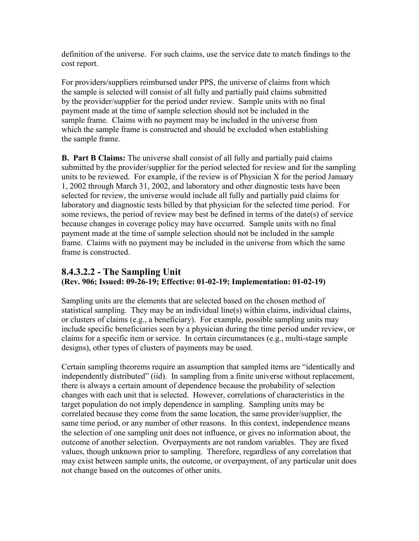definition of the universe. For such claims, use the service date to match findings to the cost report.

For providers/suppliers reimbursed under PPS, the universe of claims from which the sample is selected will consist of all fully and partially paid claims submitted by the provider/supplier for the period under review. Sample units with no final payment made at the time of sample selection should not be included in the sample frame. Claims with no payment may be included in the universe from which the sample frame is constructed and should be excluded when establishing the sample frame.

**B. Part B Claims:** The universe shall consist of all fully and partially paid claims submitted by the provider/supplier for the period selected for review and for the sampling units to be reviewed. For example, if the review is of Physician X for the period January 1, 2002 through March 31, 2002, and laboratory and other diagnostic tests have been selected for review, the universe would include all fully and partially paid claims for laboratory and diagnostic tests billed by that physician for the selected time period. For some reviews, the period of review may best be defined in terms of the date(s) of service because changes in coverage policy may have occurred. Sample units with no final payment made at the time of sample selection should not be included in the sample frame. Claims with no payment may be included in the universe from which the same frame is constructed.

### <span id="page-37-0"></span>**8.4.3.2.2 - The Sampling Unit (Rev. 906; Issued: 09-26-19; Effective: 01-02-19; Implementation: 01-02-19)**

Sampling units are the elements that are selected based on the chosen method of statistical sampling. They may be an individual line(s) within claims, individual claims, or clusters of claims (e.g., a beneficiary). For example, possible sampling units may include specific beneficiaries seen by a physician during the time period under review, or claims for a specific item or service. In certain circumstances (e.g., multi-stage sample designs), other types of clusters of payments may be used.

Certain sampling theorems require an assumption that sampled items are "identically and independently distributed" (iid). In sampling from a finite universe without replacement, there is always a certain amount of dependence because the probability of selection changes with each unit that is selected. However, correlations of characteristics in the target population do not imply dependence in sampling. Sampling units may be correlated because they come from the same location, the same provider/supplier, the same time period, or any number of other reasons. In this context, independence means the selection of one sampling unit does not influence, or gives no information about, the outcome of another selection. Overpayments are not random variables. They are fixed values, though unknown prior to sampling. Therefore, regardless of any correlation that may exist between sample units, the outcome, or overpayment, of any particular unit does not change based on the outcomes of other units.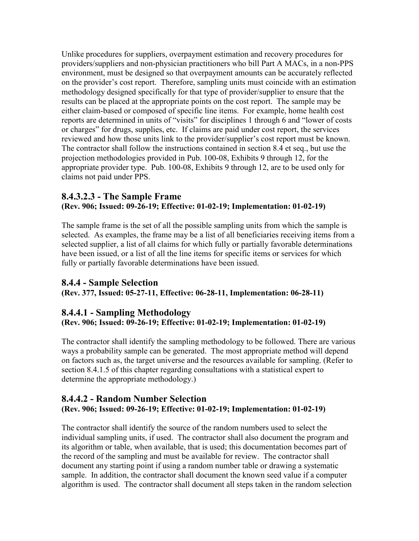Unlike procedures for suppliers, overpayment estimation and recovery procedures for providers/suppliers and non-physician practitioners who bill Part A MACs, in a non-PPS environment, must be designed so that overpayment amounts can be accurately reflected on the provider's cost report. Therefore, sampling units must coincide with an estimation methodology designed specifically for that type of provider/supplier to ensure that the results can be placed at the appropriate points on the cost report. The sample may be either claim-based or composed of specific line items. For example, home health cost reports are determined in units of "visits" for disciplines 1 through 6 and "lower of costs or charges" for drugs, supplies, etc. If claims are paid under cost report, the services reviewed and how those units link to the provider/supplier's cost report must be known. The contractor shall follow the instructions contained in section 8.4 et seq., but use the projection methodologies provided in Pub. 100-08, Exhibits 9 through 12, for the appropriate provider type. Pub. 100-08, Exhibits 9 through 12, are to be used only for claims not paid under PPS.

### <span id="page-38-0"></span>**8.4.3.2.3 - The Sample Frame (Rev. 906; Issued: 09-26-19; Effective: 01-02-19; Implementation: 01-02-19)**

The sample frame is the set of all the possible sampling units from which the sample is selected. As examples, the frame may be a list of all beneficiaries receiving items from a selected supplier, a list of all claims for which fully or partially favorable determinations have been issued, or a list of all the line items for specific items or services for which fully or partially favorable determinations have been issued.

### <span id="page-38-1"></span>**8.4.4 - Sample Selection**

**(Rev. 377, Issued: 05-27-11, Effective: 06-28-11, Implementation: 06-28-11)**

## <span id="page-38-2"></span>**8.4.4.1 - Sampling Methodology**

**(Rev. 906; Issued: 09-26-19; Effective: 01-02-19; Implementation: 01-02-19)**

The contractor shall identify the sampling methodology to be followed. There are various ways a probability sample can be generated. The most appropriate method will depend on factors such as, the target universe and the resources available for sampling. (Refer to section 8.4.1.5 of this chapter regarding consultations with a statistical expert to determine the appropriate methodology.)

### <span id="page-38-3"></span>**8.4.4.2 - Random Number Selection (Rev. 906; Issued: 09-26-19; Effective: 01-02-19; Implementation: 01-02-19)**

The contractor shall identify the source of the random numbers used to select the individual sampling units, if used. The contractor shall also document the program and its algorithm or table, when available, that is used; this documentation becomes part of the record of the sampling and must be available for review. The contractor shall document any starting point if using a random number table or drawing a systematic sample. In addition, the contractor shall document the known seed value if a computer algorithm is used. The contractor shall document all steps taken in the random selection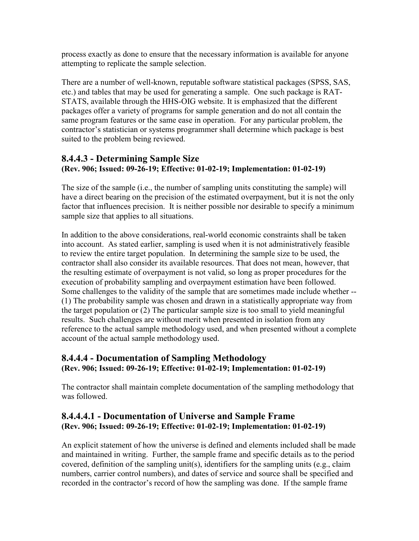process exactly as done to ensure that the necessary information is available for anyone attempting to replicate the sample selection.

There are a number of well-known, reputable software statistical packages (SPSS, SAS, etc.) and tables that may be used for generating a sample. One such package is RAT-STATS, available through the HHS-OIG website. It is emphasized that the different packages offer a variety of programs for sample generation and do not all contain the same program features or the same ease in operation. For any particular problem, the contractor's statistician or systems programmer shall determine which package is best suited to the problem being reviewed.

### <span id="page-39-0"></span>**8.4.4.3 - Determining Sample Size (Rev. 906; Issued: 09-26-19; Effective: 01-02-19; Implementation: 01-02-19)**

The size of the sample (i.e., the number of sampling units constituting the sample) will have a direct bearing on the precision of the estimated overpayment, but it is not the only factor that influences precision. It is neither possible nor desirable to specify a minimum sample size that applies to all situations.

In addition to the above considerations, real-world economic constraints shall be taken into account. As stated earlier, sampling is used when it is not administratively feasible to review the entire target population. In determining the sample size to be used, the contractor shall also consider its available resources. That does not mean, however, that the resulting estimate of overpayment is not valid, so long as proper procedures for the execution of probability sampling and overpayment estimation have been followed. Some challenges to the validity of the sample that are sometimes made include whether -- (1) The probability sample was chosen and drawn in a statistically appropriate way from the target population or (2) The particular sample size is too small to yield meaningful results. Such challenges are without merit when presented in isolation from any reference to the actual sample methodology used, and when presented without a complete account of the actual sample methodology used.

## <span id="page-39-1"></span>**8.4.4.4 - Documentation of Sampling Methodology (Rev. 906; Issued: 09-26-19; Effective: 01-02-19; Implementation: 01-02-19)**

The contractor shall maintain complete documentation of the sampling methodology that was followed.

## <span id="page-39-2"></span>**8.4.4.4.1 - Documentation of Universe and Sample Frame (Rev. 906; Issued: 09-26-19; Effective: 01-02-19; Implementation: 01-02-19)**

An explicit statement of how the universe is defined and elements included shall be made and maintained in writing. Further, the sample frame and specific details as to the period covered, definition of the sampling unit(s), identifiers for the sampling units (e.g., claim numbers, carrier control numbers), and dates of service and source shall be specified and recorded in the contractor's record of how the sampling was done. If the sample frame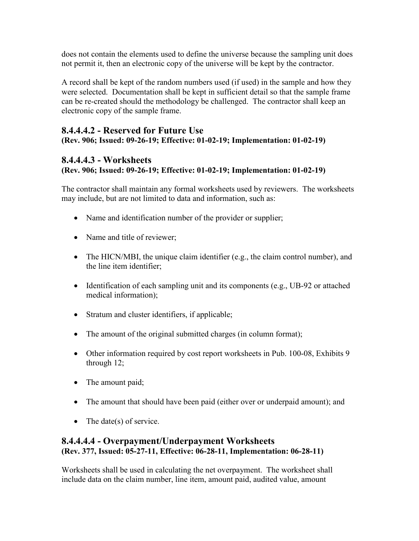does not contain the elements used to define the universe because the sampling unit does not permit it, then an electronic copy of the universe will be kept by the contractor.

A record shall be kept of the random numbers used (if used) in the sample and how they were selected. Documentation shall be kept in sufficient detail so that the sample frame can be re-created should the methodology be challenged. The contractor shall keep an electronic copy of the sample frame.

#### <span id="page-40-0"></span>**8.4.4.4.2 - Reserved for Future Use (Rev. 906; Issued: 09-26-19; Effective: 01-02-19; Implementation: 01-02-19)**

## <span id="page-40-1"></span>**8.4.4.4.3 - Worksheets**

## **(Rev. 906; Issued: 09-26-19; Effective: 01-02-19; Implementation: 01-02-19)**

The contractor shall maintain any formal worksheets used by reviewers. The worksheets may include, but are not limited to data and information, such as:

- Name and identification number of the provider or supplier;
- Name and title of reviewer:
- The HICN/MBI, the unique claim identifier (e.g., the claim control number), and the line item identifier;
- Identification of each sampling unit and its components (e.g., UB-92 or attached medical information);
- Stratum and cluster identifiers, if applicable;
- The amount of the original submitted charges (in column format);
- Other information required by cost report worksheets in Pub. 100-08, Exhibits 9 through 12;
- The amount paid;
- The amount that should have been paid (either over or underpaid amount); and
- The date(s) of service.

## <span id="page-40-2"></span>**8.4.4.4.4 - Overpayment/Underpayment Worksheets (Rev. 377, Issued: 05-27-11, Effective: 06-28-11, Implementation: 06-28-11)**

Worksheets shall be used in calculating the net overpayment. The worksheet shall include data on the claim number, line item, amount paid, audited value, amount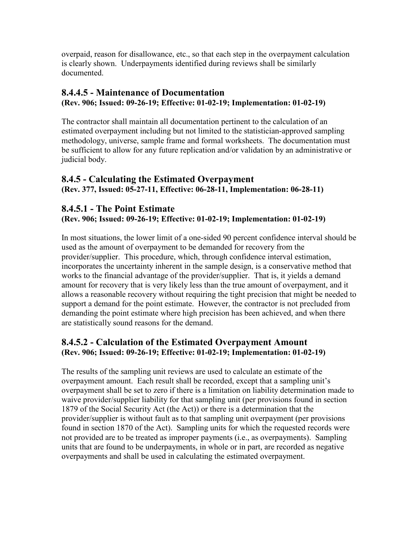overpaid, reason for disallowance, etc., so that each step in the overpayment calculation is clearly shown. Underpayments identified during reviews shall be similarly documented.

## <span id="page-41-0"></span>**8.4.4.5 - Maintenance of Documentation (Rev. 906; Issued: 09-26-19; Effective: 01-02-19; Implementation: 01-02-19)**

The contractor shall maintain all documentation pertinent to the calculation of an estimated overpayment including but not limited to the statistician-approved sampling methodology, universe, sample frame and formal worksheets. The documentation must be sufficient to allow for any future replication and/or validation by an administrative or judicial body.

### <span id="page-41-1"></span>**8.4.5 - Calculating the Estimated Overpayment (Rev. 377, Issued: 05-27-11, Effective: 06-28-11, Implementation: 06-28-11)**

## <span id="page-41-2"></span>**8.4.5.1 - The Point Estimate**

### **(Rev. 906; Issued: 09-26-19; Effective: 01-02-19; Implementation: 01-02-19)**

In most situations, the lower limit of a one-sided 90 percent confidence interval should be used as the amount of overpayment to be demanded for recovery from the provider/supplier. This procedure, which, through confidence interval estimation, incorporates the uncertainty inherent in the sample design, is a conservative method that works to the financial advantage of the provider/supplier. That is, it yields a demand amount for recovery that is very likely less than the true amount of overpayment, and it allows a reasonable recovery without requiring the tight precision that might be needed to support a demand for the point estimate. However, the contractor is not precluded from demanding the point estimate where high precision has been achieved, and when there are statistically sound reasons for the demand.

## <span id="page-41-3"></span>**8.4.5.2 - Calculation of the Estimated Overpayment Amount (Rev. 906; Issued: 09-26-19; Effective: 01-02-19; Implementation: 01-02-19)**

The results of the sampling unit reviews are used to calculate an estimate of the overpayment amount. Each result shall be recorded, except that a sampling unit's overpayment shall be set to zero if there is a limitation on liability determination made to waive provider/supplier liability for that sampling unit (per provisions found in section 1879 of the Social Security Act (the Act)) or there is a determination that the provider/supplier is without fault as to that sampling unit overpayment (per provisions found in section 1870 of the Act). Sampling units for which the requested records were not provided are to be treated as improper payments (i.e., as overpayments). Sampling units that are found to be underpayments, in whole or in part, are recorded as negative overpayments and shall be used in calculating the estimated overpayment.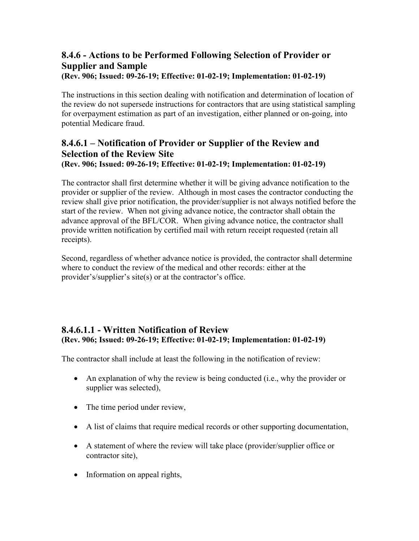# <span id="page-42-0"></span>**8.4.6 - Actions to be Performed Following Selection of Provider or Supplier and Sample**

**(Rev. 906; Issued: 09-26-19; Effective: 01-02-19; Implementation: 01-02-19)**

The instructions in this section dealing with notification and determination of location of the review do not supersede instructions for contractors that are using statistical sampling for overpayment estimation as part of an investigation, either planned or on-going, into potential Medicare fraud.

### <span id="page-42-1"></span>**8.4.6.1 – Notification of Provider or Supplier of the Review and Selection of the Review Site (Rev. 906; Issued: 09-26-19; Effective: 01-02-19; Implementation: 01-02-19)**

The contractor shall first determine whether it will be giving advance notification to the provider or supplier of the review. Although in most cases the contractor conducting the review shall give prior notification, the provider/supplier is not always notified before the start of the review. When not giving advance notice, the contractor shall obtain the advance approval of the BFL/COR. When giving advance notice, the contractor shall provide written notification by certified mail with return receipt requested (retain all receipts).

Second, regardless of whether advance notice is provided, the contractor shall determine where to conduct the review of the medical and other records: either at the provider's/supplier's site(s) or at the contractor's office.

## <span id="page-42-2"></span>**8.4.6.1.1 - Written Notification of Review (Rev. 906; Issued: 09-26-19; Effective: 01-02-19; Implementation: 01-02-19)**

The contractor shall include at least the following in the notification of review:

- An explanation of why the review is being conducted (i.e., why the provider or supplier was selected),
- The time period under review,
- A list of claims that require medical records or other supporting documentation,
- A statement of where the review will take place (provider/supplier office or contractor site),
- Information on appeal rights,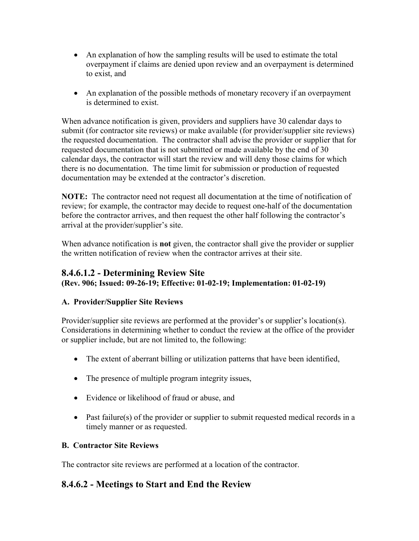- An explanation of how the sampling results will be used to estimate the total overpayment if claims are denied upon review and an overpayment is determined to exist, and
- An explanation of the possible methods of monetary recovery if an overpayment is determined to exist.

When advance notification is given, providers and suppliers have 30 calendar days to submit (for contractor site reviews) or make available (for provider/supplier site reviews) the requested documentation. The contractor shall advise the provider or supplier that for requested documentation that is not submitted or made available by the end of 30 calendar days, the contractor will start the review and will deny those claims for which there is no documentation. The time limit for submission or production of requested documentation may be extended at the contractor's discretion.

**NOTE:** The contractor need not request all documentation at the time of notification of review; for example, the contractor may decide to request one-half of the documentation before the contractor arrives, and then request the other half following the contractor's arrival at the provider/supplier's site.

When advance notification is **not** given, the contractor shall give the provider or supplier the written notification of review when the contractor arrives at their site.

### <span id="page-43-0"></span>**8.4.6.1.2 - Determining Review Site (Rev. 906; Issued: 09-26-19; Effective: 01-02-19; Implementation: 01-02-19)**

## **A. Provider/Supplier Site Reviews**

Provider/supplier site reviews are performed at the provider's or supplier's location(s). Considerations in determining whether to conduct the review at the office of the provider or supplier include, but are not limited to, the following:

- The extent of aberrant billing or utilization patterns that have been identified,
- The presence of multiple program integrity issues,
- Evidence or likelihood of fraud or abuse, and
- Past failure(s) of the provider or supplier to submit requested medical records in a timely manner or as requested.

## **B. Contractor Site Reviews**

The contractor site reviews are performed at a location of the contractor.

## <span id="page-43-1"></span>**8.4.6.2 - Meetings to Start and End the Review**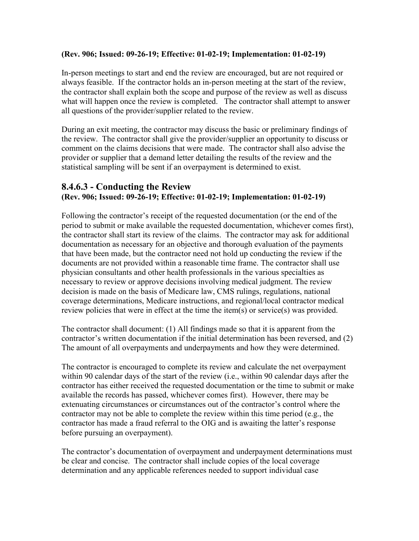#### **(Rev. 906; Issued: 09-26-19; Effective: 01-02-19; Implementation: 01-02-19)**

In-person meetings to start and end the review are encouraged, but are not required or always feasible. If the contractor holds an in-person meeting at the start of the review, the contractor shall explain both the scope and purpose of the review as well as discuss what will happen once the review is completed. The contractor shall attempt to answer all questions of the provider/supplier related to the review.

During an exit meeting, the contractor may discuss the basic or preliminary findings of the review. The contractor shall give the provider/supplier an opportunity to discuss or comment on the claims decisions that were made. The contractor shall also advise the provider or supplier that a demand letter detailing the results of the review and the statistical sampling will be sent if an overpayment is determined to exist.

### <span id="page-44-0"></span>**8.4.6.3 - Conducting the Review (Rev. 906; Issued: 09-26-19; Effective: 01-02-19; Implementation: 01-02-19)**

Following the contractor's receipt of the requested documentation (or the end of the period to submit or make available the requested documentation, whichever comes first), the contractor shall start its review of the claims. The contractor may ask for additional documentation as necessary for an objective and thorough evaluation of the payments that have been made, but the contractor need not hold up conducting the review if the documents are not provided within a reasonable time frame. The contractor shall use physician consultants and other health professionals in the various specialties as necessary to review or approve decisions involving medical judgment. The review decision is made on the basis of Medicare law, CMS rulings, regulations, national coverage determinations, Medicare instructions, and regional/local contractor medical review policies that were in effect at the time the item(s) or service(s) was provided.

The contractor shall document: (1) All findings made so that it is apparent from the contractor's written documentation if the initial determination has been reversed, and (2) The amount of all overpayments and underpayments and how they were determined.

The contractor is encouraged to complete its review and calculate the net overpayment within 90 calendar days of the start of the review (i.e., within 90 calendar days after the contractor has either received the requested documentation or the time to submit or make available the records has passed, whichever comes first). However, there may be extenuating circumstances or circumstances out of the contractor's control where the contractor may not be able to complete the review within this time period (e.g., the contractor has made a fraud referral to the OIG and is awaiting the latter's response before pursuing an overpayment).

The contractor's documentation of overpayment and underpayment determinations must be clear and concise. The contractor shall include copies of the local coverage determination and any applicable references needed to support individual case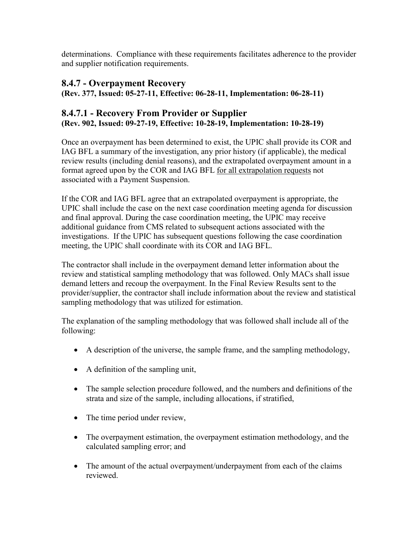determinations. Compliance with these requirements facilitates adherence to the provider and supplier notification requirements.

## <span id="page-45-0"></span>**8.4.7 - Overpayment Recovery**

**(Rev. 377, Issued: 05-27-11, Effective: 06-28-11, Implementation: 06-28-11)**

## <span id="page-45-1"></span>**8.4.7.1 - Recovery From Provider or Supplier (Rev. 902, Issued: 09-27-19, Effective: 10-28-19, Implementation: 10-28-19)**

Once an overpayment has been determined to exist, the UPIC shall provide its COR and IAG BFL a summary of the investigation, any prior history (if applicable), the medical review results (including denial reasons), and the extrapolated overpayment amount in a format agreed upon by the COR and IAG BFL for all extrapolation requests not associated with a Payment Suspension.

If the COR and IAG BFL agree that an extrapolated overpayment is appropriate, the UPIC shall include the case on the next case coordination meeting agenda for discussion and final approval. During the case coordination meeting, the UPIC may receive additional guidance from CMS related to subsequent actions associated with the investigations. If the UPIC has subsequent questions following the case coordination meeting, the UPIC shall coordinate with its COR and IAG BFL.

The contractor shall include in the overpayment demand letter information about the review and statistical sampling methodology that was followed. Only MACs shall issue demand letters and recoup the overpayment. In the Final Review Results sent to the provider/supplier, the contractor shall include information about the review and statistical sampling methodology that was utilized for estimation.

The explanation of the sampling methodology that was followed shall include all of the following:

- A description of the universe, the sample frame, and the sampling methodology,
- A definition of the sampling unit,
- The sample selection procedure followed, and the numbers and definitions of the strata and size of the sample, including allocations, if stratified,
- The time period under review,
- The overpayment estimation, the overpayment estimation methodology, and the calculated sampling error; and
- The amount of the actual overpayment/underpayment from each of the claims reviewed.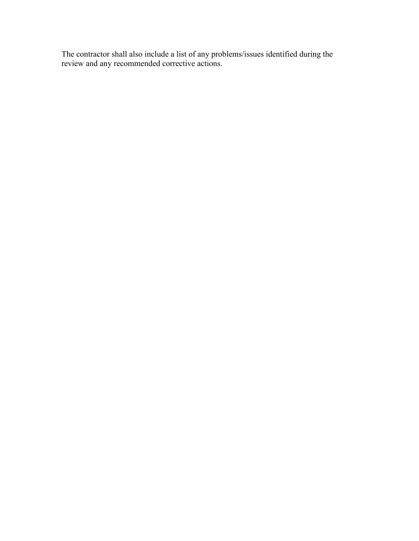The contractor shall also include a list of any problems/issues identified during the review and any recommended corrective actions.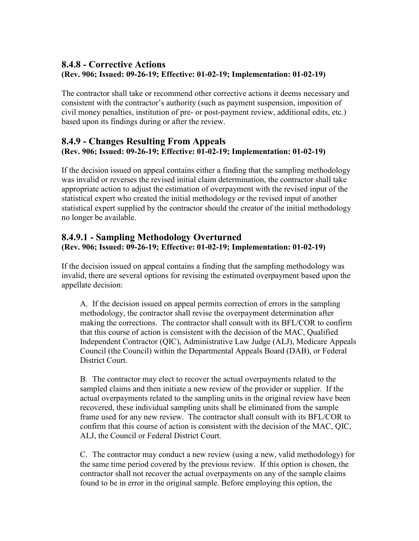## <span id="page-47-0"></span>**8.4.8 - Corrective Actions (Rev. 906; Issued: 09-26-19; Effective: 01-02-19; Implementation: 01-02-19)**

The contractor shall take or recommend other corrective actions it deems necessary and consistent with the contractor's authority (such as payment suspension, imposition of civil money penalties, institution of pre- or post-payment review, additional edits, etc.) based upon its findings during or after the review.

### <span id="page-47-1"></span>**8.4.9 - Changes Resulting From Appeals (Rev. 906; Issued: 09-26-19; Effective: 01-02-19; Implementation: 01-02-19)**

If the decision issued on appeal contains either a finding that the sampling methodology was invalid or reverses the revised initial claim determination, the contractor shall take appropriate action to adjust the estimation of overpayment with the revised input of the statistical expert who created the initial methodology or the revised input of another statistical expert supplied by the contractor should the creator of the initial methodology no longer be available.

## <span id="page-47-2"></span>**8.4.9.1 - Sampling Methodology Overturned (Rev. 906; Issued: 09-26-19; Effective: 01-02-19; Implementation: 01-02-19)**

If the decision issued on appeal contains a finding that the sampling methodology was invalid, there are several options for revising the estimated overpayment based upon the appellate decision:

A. If the decision issued on appeal permits correction of errors in the sampling methodology, the contractor shall revise the overpayment determination after making the corrections. The contractor shall consult with its BFL/COR to confirm that this course of action is consistent with the decision of the MAC, Qualified Independent Contractor (QIC), Administrative Law Judge (ALJ), Medicare Appeals Council (the Council) within the Departmental Appeals Board (DAB), or Federal District Court.

B. The contractor may elect to recover the actual overpayments related to the sampled claims and then initiate a new review of the provider or supplier. If the actual overpayments related to the sampling units in the original review have been recovered, these individual sampling units shall be eliminated from the sample frame used for any new review. The contractor shall consult with its BFL/COR to confirm that this course of action is consistent with the decision of the MAC, QIC, ALJ, the Council or Federal District Court.

C. The contractor may conduct a new review (using a new, valid methodology) for the same time period covered by the previous review. If this option is chosen, the contractor shall not recover the actual overpayments on any of the sample claims found to be in error in the original sample. Before employing this option, the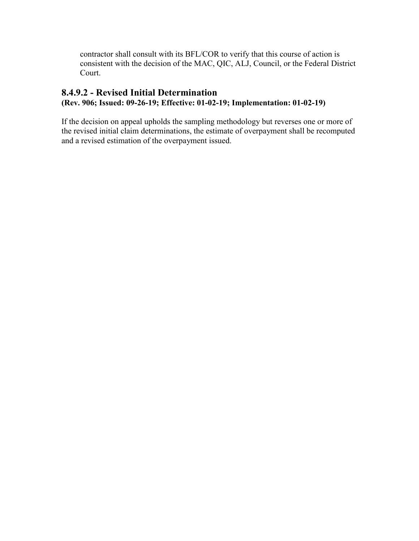contractor shall consult with its BFL/COR to verify that this course of action is consistent with the decision of the MAC, QIC, ALJ, Council, or the Federal District Court.

## <span id="page-48-0"></span>**8.4.9.2 - Revised Initial Determination (Rev. 906; Issued: 09-26-19; Effective: 01-02-19; Implementation: 01-02-19)**

If the decision on appeal upholds the sampling methodology but reverses one or more of the revised initial claim determinations, the estimate of overpayment shall be recomputed and a revised estimation of the overpayment issued.